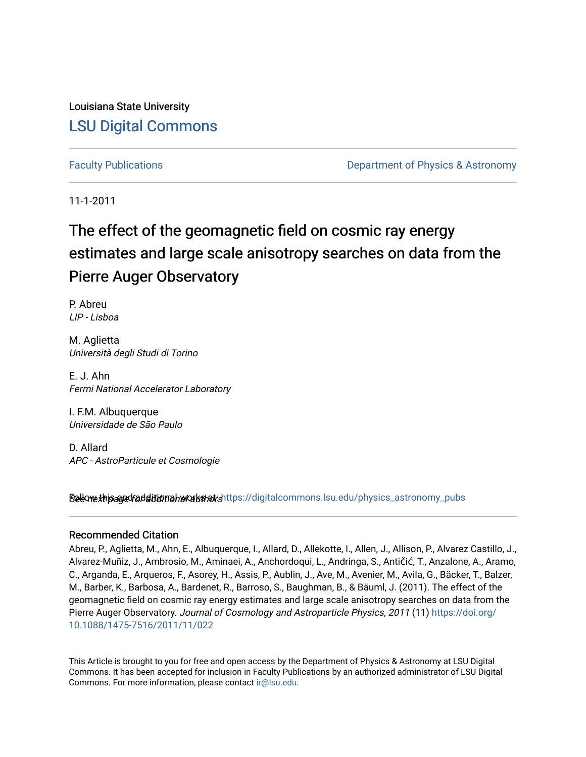Louisiana State University [LSU Digital Commons](https://digitalcommons.lsu.edu/)

[Faculty Publications](https://digitalcommons.lsu.edu/physics_astronomy_pubs) **Example 2** Constant Department of Physics & Astronomy

11-1-2011

# The effect of the geomagnetic field on cosmic ray energy estimates and large scale anisotropy searches on data from the Pierre Auger Observatory

P. Abreu LIP - Lisboa

M. Aglietta Università degli Studi di Torino

E. J. Ahn Fermi National Accelerator Laboratory

I. F.M. Albuquerque Universidade de São Paulo

D. Allard APC - AstroParticule et Cosmologie

Sellow this age for ditional works and the still digital commons.lsu.edu/physics\_astronomy\_pubs

#### Recommended Citation

Abreu, P., Aglietta, M., Ahn, E., Albuquerque, I., Allard, D., Allekotte, I., Allen, J., Allison, P., Alvarez Castillo, J., Alvarez-Muñiz, J., Ambrosio, M., Aminaei, A., Anchordoqui, L., Andringa, S., Antičić, T., Anzalone, A., Aramo, C., Arganda, E., Arqueros, F., Asorey, H., Assis, P., Aublin, J., Ave, M., Avenier, M., Avila, G., Bäcker, T., Balzer, M., Barber, K., Barbosa, A., Bardenet, R., Barroso, S., Baughman, B., & Bäuml, J. (2011). The effect of the geomagnetic field on cosmic ray energy estimates and large scale anisotropy searches on data from the Pierre Auger Observatory. Journal of Cosmology and Astroparticle Physics, 2011 (11) [https://doi.org/](https://doi.org/10.1088/1475-7516/2011/11/022) [10.1088/1475-7516/2011/11/022](https://doi.org/10.1088/1475-7516/2011/11/022) 

This Article is brought to you for free and open access by the Department of Physics & Astronomy at LSU Digital Commons. It has been accepted for inclusion in Faculty Publications by an authorized administrator of LSU Digital Commons. For more information, please contact [ir@lsu.edu](mailto:ir@lsu.edu).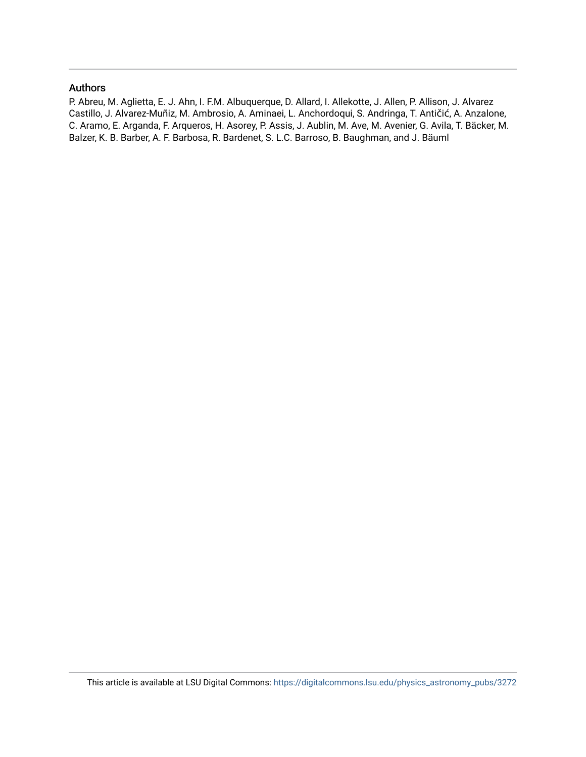#### Authors

P. Abreu, M. Aglietta, E. J. Ahn, I. F.M. Albuquerque, D. Allard, I. Allekotte, J. Allen, P. Allison, J. Alvarez Castillo, J. Alvarez-Muñiz, M. Ambrosio, A. Aminaei, L. Anchordoqui, S. Andringa, T. Antičić, A. Anzalone, C. Aramo, E. Arganda, F. Arqueros, H. Asorey, P. Assis, J. Aublin, M. Ave, M. Avenier, G. Avila, T. Bäcker, M. Balzer, K. B. Barber, A. F. Barbosa, R. Bardenet, S. L.C. Barroso, B. Baughman, and J. Bäuml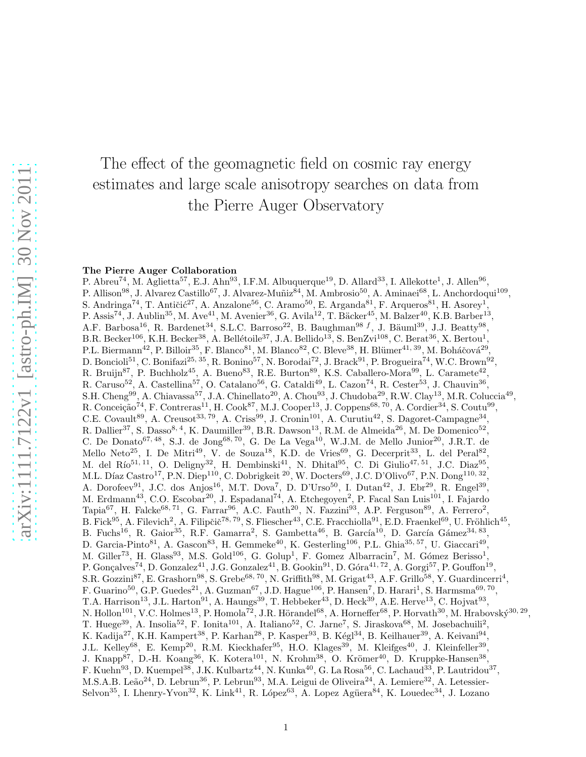# The effect of the geomagnetic field on cosmic ray energy estimates and large scale anisotropy searches on data from the Pierre Auger Observatory

#### The Pierre Auger Collaboration

P. Abreu<sup>74</sup>, M. Aglietta<sup>57</sup>, E.J. Ahn<sup>93</sup>, I.F.M. Albuquerque<sup>19</sup>, D. Allard<sup>33</sup>, I. Allekotte<sup>1</sup>, J. Allen<sup>96</sup>, P. Allison<sup>98</sup>, J. Alvarez Castillo<sup>67</sup>, J. Alvarez-Muñiz<sup>84</sup>, M. Ambrosio<sup>50</sup>, A. Aminaei<sup>68</sup>, L. Anchordoqui<sup>109</sup>, S. Andringa<sup>74</sup>, T. Antičić<sup>27</sup>, A. Anzalone<sup>56</sup>, C. Aramo<sup>50</sup>, E. Arganda<sup>81</sup>, F. Arqueros<sup>81</sup>, H. Asorey<sup>1</sup>, P. Assis<sup>74</sup>, J. Aublin<sup>35</sup>, M. Ave<sup>41</sup>, M. Avenier<sup>36</sup>, G. Avila<sup>12</sup>, T. Bäcker<sup>45</sup>, M. Balzer<sup>40</sup>, K.B. Barber<sup>13</sup>, A.F. Barbosa<sup>16</sup>, R. Bardenet<sup>34</sup>, S.L.C. Barroso<sup>22</sup>, B. Baughman<sup>98 f</sup>, J. Bäuml<sup>39</sup>, J.J. Beatty<sup>98</sup>, B.R. Becker<sup>106</sup>, K.H. Becker<sup>38</sup>, A. Bellétoile<sup>37</sup>, J.A. Bellido<sup>13</sup>, S. BenZvi<sup>108</sup>, C. Berat<sup>36</sup>, X. Bertou<sup>1</sup>, P.L. Biermann<sup>42</sup>, P. Billoir<sup>35</sup>, F. Blanco<sup>81</sup>, M. Blanco<sup>82</sup>, C. Bleve<sup>38</sup>, H. Blümer<sup>41, 39</sup>, M. Boháčová<sup>29</sup>. , D. Boncioli<sup>51</sup>, C. Bonifazi<sup>25, 35</sup>, R. Bonino<sup>57</sup>, N. Borodai<sup>72</sup>, J. Brack<sup>91</sup>, P. Brogueira<sup>74</sup>, W.C. Brown<sup>92</sup>, R. Bruijn<sup>87</sup>, P. Buchholz<sup>45</sup>, A. Bueno<sup>83</sup>, R.E. Burton<sup>89</sup>, K.S. Caballero-Mora<sup>99</sup>, L. Caramete<sup>42</sup>, R. Caruso<sup>52</sup>, A. Castellina<sup>57</sup>, O. Catalano<sup>56</sup>, G. Cataldi<sup>49</sup>, L. Cazon<sup>74</sup>, R. Cester<sup>53</sup>, J. Chauvin<sup>36</sup>, S.H. Cheng<sup>99</sup>, A. Chiavassa<sup>57</sup>, J.A. Chinellato<sup>20</sup>, A. Chou<sup>93</sup>, J. Chudoba<sup>29</sup>, R.W. Clay<sup>13</sup>, M.R. Coluccia<sup>49</sup>, R. Conceição<sup>74</sup>, F. Contreras<sup>11</sup>, H. Cook<sup>87</sup>, M.J. Cooper<sup>13</sup>, J. Coppens<sup>68, 70</sup>, A. Cordier<sup>34</sup>, S. Coutu<sup>99</sup>, C.E. Covault<sup>89</sup>, A. Creusot<sup>33, 79</sup>, A. Criss<sup>99</sup>, J. Cronin<sup>101</sup>, A. Curutiu<sup>42</sup>, S. Dagoret-Campagne<sup>34</sup>, R. Dallier<sup>37</sup>, S. Dasso<sup>8, 4</sup>, K. Daumiller<sup>39</sup>, B.R. Dawson<sup>13</sup>, R.M. de Almeida<sup>26</sup>, M. De Domenico<sup>52</sup>, C. De Donato<sup>67, 48</sup>, S.J. de Jong<sup>68, 70</sup>, G. De La Vega<sup>10</sup>, W.J.M. de Mello Junior<sup>20</sup>, J.R.T. de Mello Neto<sup>25</sup>, I. De Mitri<sup>49</sup>, V. de Souza<sup>18</sup>, K.D. de Vries<sup>69</sup>, G. Decerprit<sup>33</sup>, L. del Peral<sup>82</sup>, M. del Río $^{51,11}$ , O. Deligny<sup>32</sup>, H. Dembinski<sup>41</sup>, N. Dhital<sup>95</sup>, C. Di Giulio<sup>47, 51</sup>, J.C. Diaz<sup>95</sup>, M.L. Díaz Castro<sup>17</sup>, P.N. Diep<sup>110</sup>, C. Dobrigkeit <sup>20</sup>, W. Docters<sup>69</sup>, J.C. D'Olivo<sup>67</sup>, P.N. Dong<sup>110, 32</sup>, A. Dorofeev<sup>91</sup>, J.C. dos Anjos<sup>16</sup>, M.T. Dova<sup>7</sup>, D. D'Urso<sup>50</sup>, I. Dutan<sup>42</sup>, J. Ebr<sup>29</sup>, R. Engel<sup>39</sup>, M. Erdmann<sup>43</sup>, C.O. Escobar<sup>20</sup>, J. Espadanal<sup>74</sup>, A. Etchegoyen<sup>2</sup>, P. Facal San Luis<sup>101</sup>, I. Fajardo Tapia<sup>67</sup>, H. Falcke<sup>68, 71</sup>, G. Farrar<sup>96</sup>, A.C. Fauth<sup>20</sup>, N. Fazzini<sup>93</sup>, A.P. Ferguson<sup>89</sup>, A. Ferrero<sup>2</sup>, B. Fick<sup>95</sup>, A. Filevich<sup>2</sup>, A. Filipčič<sup>78, 79</sup>, S. Fliescher<sup>43</sup>, C.E. Fracchiolla<sup>91</sup>, E.D. Fraenkel<sup>69</sup>, U. Fröhlich<sup>45</sup>, B. Fuchs<sup>16</sup>, R. Gaior<sup>35</sup>, R.F. Gamarra<sup>2</sup>, S. Gambetta<sup>46</sup>, B. García<sup>10</sup>, D. García Gámez<sup>34, 83</sup>, D. Garcia-Pinto<sup>81</sup>, A. Gascon<sup>83</sup>, H. Gemmeke<sup>40</sup>, K. Gesterling<sup>106</sup>, P.L. Ghia<sup>35, 57</sup>, U. Giaccari<sup>49</sup>, M. Giller<sup>73</sup>, H. Glass<sup>93</sup>, M.S. Gold<sup>106</sup>, G. Golup<sup>1</sup>, F. Gomez Albarracin<sup>7</sup>, M. Gómez Berisso<sup>1</sup>, P. Gonçalves<sup>74</sup>, D. Gonzalez<sup>41</sup>, J.G. Gonzalez<sup>41</sup>, B. Gookin<sup>91</sup>, D. Góra<sup>41, 72</sup>, A. Gorgi<sup>57</sup>, P. Gouffon<sup>19</sup>, S.R. Gozzini<sup>87</sup>, E. Grashorn<sup>98</sup>, S. Grebe<sup>68, 70</sup>, N. Griffith<sup>98</sup>, M. Grigat<sup>43</sup>, A.F. Grillo<sup>58</sup>, Y. Guardincerri<sup>4</sup>, F. Guarino<sup>50</sup>, G.P. Guedes<sup>21</sup>, A. Guzman<sup>67</sup>, J.D. Hague<sup>106</sup>, P. Hansen<sup>7</sup>, D. Harari<sup>1</sup>, S. Harmsma<sup>69, 70</sup>, T.A. Harrison<sup>13</sup>, J.L. Harton<sup>91</sup>, A. Haungs<sup>39</sup>, T. Hebbeker<sup>43</sup>, D. Heck<sup>39</sup>, A.E. Herve<sup>13</sup>, C. Hojvat<sup>93</sup>, N. Hollon<sup>101</sup>, V.C. Holmes<sup>13</sup>, P. Homola<sup>72</sup>, J.R. Hörandel<sup>68</sup>, A. Horneffer<sup>68</sup>, P. Horvath<sup>30</sup>, M. Hrabovský<sup>30, 29</sup>, T. Huege<sup>39</sup>, A. Insolia<sup>52</sup>, F. Ionita<sup>101</sup>, A. Italiano<sup>52</sup>, C. Jarne<sup>7</sup>, S. Jiraskova<sup>68</sup>, M. Josebachuili<sup>2</sup>, K. Kadija<sup>27</sup>, K.H. Kampert<sup>38</sup>, P. Karhan<sup>28</sup>, P. Kasper<sup>93</sup>, B. Kégl<sup>34</sup>, B. Keilhauer<sup>39</sup>, A. Keivani<sup>94</sup>, J.L. Kelley<sup>68</sup>, E. Kemp<sup>20</sup>, R.M. Kieckhafer<sup>95</sup>, H.O. Klages<sup>39</sup>, M. Kleifges<sup>40</sup>, J. Kleinfeller<sup>39</sup>, J. Knapp<sup>87</sup>, D.-H. Koang<sup>36</sup>, K. Kotera<sup>101</sup>, N. Krohm<sup>38</sup>, O. Krömer<sup>40</sup>, D. Kruppke-Hansen<sup>38</sup>, F. Kuehn $^{93}$ , D. Kuempel $^{38}$ , J.K. Kulbartz $^{44}$ , N. Kunka $^{40}$ , G. La Rosa $^{56}$ , C. Lachaud $^{33}$ , P. Lautridou $^{37}$ , M.S.A.B. Leão<sup>24</sup>, D. Lebrun<sup>36</sup>, P. Lebrun<sup>93</sup>, M.A. Leigui de Oliveira<sup>24</sup>, A. Lemiere<sup>32</sup>, A. Letessier-Selvon<sup>35</sup>, I. Lhenry-Yvon<sup>32</sup>, K. Link<sup>41</sup>, R. López<sup>63</sup>, A. Lopez Agüera<sup>84</sup>, K. Louedec<sup>34</sup>, J. Lozano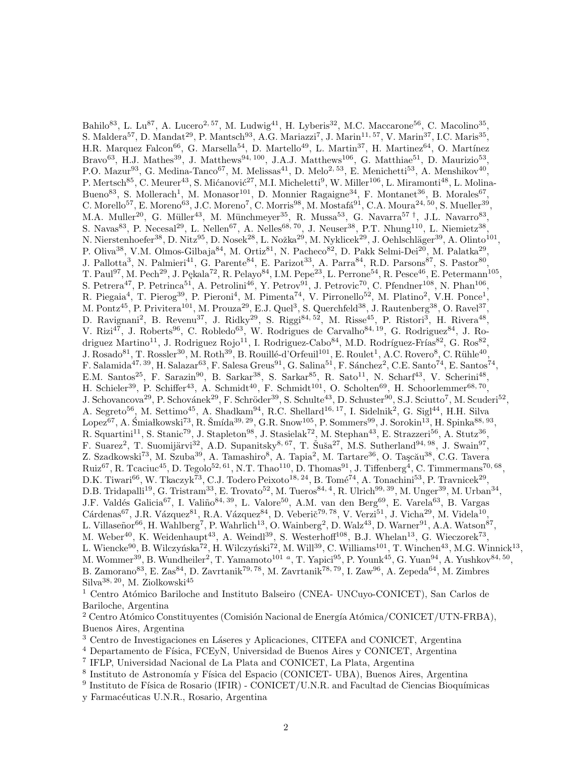Bahilo<sup>83</sup>, L. Lu<sup>87</sup>, A. Lucero<sup>2, 57</sup>, M. Ludwig<sup>41</sup>, H. Lyberis<sup>32</sup>, M.C. Maccarone<sup>56</sup>, C. Macolino<sup>35</sup>, S. Maldera<sup>57</sup>, D. Mandat<sup>29</sup>, P. Mantsch<sup>93</sup>, A.G. Mariazzi<sup>7</sup>, J. Marin<sup>11, 57</sup>, V. Marin<sup>37</sup>, I.C. Maris<sup>35</sup>, H.R. Marquez Falcon<sup>66</sup>, G. Marsella<sup>54</sup>, D. Martello<sup>49</sup>, L. Martin<sup>37</sup>, H. Martinez<sup>64</sup>, O. Martínez Bravo<sup>63</sup>, H.J. Mathes<sup>39</sup>, J. Matthews<sup>94, 100</sup>, J.A.J. Matthews<sup>106</sup>, G. Matthiae<sup>51</sup>, D. Maurizio<sup>53</sup>, P.O. Mazur<sup>93</sup>, G. Medina-Tanco<sup>67</sup>, M. Melissas<sup>41</sup>, D. Melo<sup>2, 53</sup>, E. Menichetti<sup>53</sup>, A. Menshikov<sup>40</sup>, P. Mertsch<sup>85</sup>, C. Meurer<sup>43</sup>, S. Mićanović<sup>27</sup>, M.I. Micheletti<sup>9</sup>, W. Miller<sup>106</sup>, L. Miramonti<sup>48</sup>, L. Molina-Bueno<sup>83</sup>, S. Mollerach<sup>1</sup>, M. Monasor<sup>101</sup>, D. Monnier Ragaigne<sup>34</sup>, F. Montanet<sup>36</sup>, B. Morales<sup>67</sup>, C. Morello<sup>57</sup>, E. Moreno<sup>63</sup>, J.C. Moreno<sup>7</sup>, C. Morris<sup>98</sup>, M. Mostafá<sup>91</sup>, C.A. Moura<sup>24, 50</sup>, S. Mueller<sup>39</sup>, M.A. Muller<sup>20</sup>, G. Müller<sup>43</sup>, M. Münchmeyer<sup>35</sup>, R. Mussa<sup>53</sup>, G. Navarra<sup>57†</sup>, J.L. Navarro<sup>83</sup>, S. Navas<sup>83</sup>, P. Necesal<sup>29</sup>, L. Nellen<sup>67</sup>, A. Nelles<sup>68, 70</sup>, J. Neuser<sup>38</sup>, P.T. Nhung<sup>110</sup>, L. Niemietz<sup>38</sup>, N. Nierstenhoefer<sup>38</sup>, D. Nitz<sup>95</sup>, D. Nosek<sup>28</sup>, L. Nožka<sup>29</sup>, M. Nyklicek<sup>29</sup>, J. Oehlschläger<sup>39</sup>, A. Olinto<sup>101</sup>, P. Oliva<sup>38</sup>, V.M. Olmos-Gilbaja<sup>84</sup>, M. Ortiz<sup>81</sup>, N. Pacheco<sup>82</sup>, D. Pakk Selmi-Dei<sup>20</sup>, M. Palatka<sup>29</sup>, J. Pallotta<sup>3</sup>, N. Palmieri<sup>41</sup>, G. Parente<sup>84</sup>, E. Parizot<sup>33</sup>, A. Parra<sup>84</sup>, R.D. Parsons<sup>87</sup>, S. Pastor<sup>80</sup>, T. Paul<sup>97</sup>, M. Pech<sup>29</sup>, J. Pękala<sup>72</sup>, R. Pelayo<sup>84</sup>, I.M. Pepe<sup>23</sup>, L. Perrone<sup>54</sup>, R. Pesce<sup>46</sup>, E. Petermann<sup>105</sup>, S. Petrera<sup>47</sup>, P. Petrinca<sup>51</sup>, A. Petrolini<sup>46</sup>, Y. Petrov<sup>91</sup>, J. Petrovic<sup>70</sup>, C. Pfendner<sup>108</sup>, N. Phan<sup>106</sup>, R. Piegaia<sup>4</sup>, T. Pierog<sup>39</sup>, P. Pieroni<sup>4</sup>, M. Pimenta<sup>74</sup>, V. Pirronello<sup>52</sup>, M. Platino<sup>2</sup>, V.H. Ponce<sup>1</sup>, M. Pontz<sup>45</sup>, P. Privitera<sup>101</sup>, M. Prouza<sup>29</sup>, E.J. Quel<sup>3</sup>, S. Querchfeld<sup>38</sup>, J. Rautenberg<sup>38</sup>, O. Ravel<sup>37</sup>, D. Ravignani<sup>2</sup>, B. Revenu<sup>37</sup>, J. Ridky<sup>29</sup>, S. Riggi<sup>84, 52</sup>, M. Risse<sup>45</sup>, P. Ristori<sup>3</sup>, H. Rivera<sup>48</sup>, V. Rizi<sup>47</sup>, J. Roberts<sup>96</sup>, C. Robledo<sup>63</sup>, W. Rodrigues de Carvalho<sup>84, 19</sup>, G. Rodriguez<sup>84</sup>, J. Rodriguez Martino<sup>11</sup>, J. Rodriguez Rojo<sup>11</sup>, I. Rodriguez-Cabo<sup>84</sup>, M.D. Rodríguez-Frías<sup>82</sup>, G. Ros<sup>82</sup>, J. Rosado $^{81}$ , T. Rossler $^{30}$ , M. Roth $^{39}$ , B. Rouillé-d'Orfeuil $^{101}$ , E. Roulet<sup>1</sup>, A.C. Rovero $^8$ , C. Rühle $^{40}$ , F. Salamida<sup>47, 39</sup>, H. Salazar<sup>63</sup>, F. Salesa Greus<sup>91</sup>, G. Salina<sup>51</sup>, F. Sánchez<sup>2</sup>, C.E. Santo<sup>74</sup>, E. Santos<sup>74</sup>, E.M. Santos<sup>25</sup>, F. Sarazin<sup>90</sup>, B. Sarkar<sup>38</sup>, S. Sarkar<sup>85</sup>, R. Sato<sup>11</sup>, N. Scharf<sup>43</sup>, V. Scherini<sup>48</sup>, H. Schieler<sup>39</sup>, P. Schiffer<sup>43</sup>, A. Schmidt<sup>40</sup>, F. Schmidt<sup>101</sup>, O. Scholten<sup>69</sup>, H. Schoorlemmer<sup>68, 70</sup>, J. Schovancova<sup>29</sup>, P. Schovánek<sup>29</sup>, F. Schröder<sup>39</sup>, S. Schulte<sup>43</sup>, D. Schuster<sup>90</sup>, S.J. Sciutto<sup>7</sup>, M. Scuderi<sup>52</sup>, A. Segreto<sup>56</sup>, M. Settimo<sup>45</sup>, A. Shadkam<sup>94</sup>, R.C. Shellard<sup>16, 17</sup>, I. Sidelnik<sup>2</sup>, G. Sigl<sup>44</sup>, H.H. Silva  $\text{Lopez}^{67}$ , A. Śmiałkowski $^{73}$ , R. Šmída $^{39, 29}$ , G.R. Snow $^{105}$ , P. Sommers $^{99}$ , J. Sorokin $^{13}$ , H. Spinka $^{88, 93}$ , R. Squartini<sup>11</sup>, S. Stanic<sup>79</sup>, J. Stapleton<sup>98</sup>, J. Stasielak<sup>72</sup>, M. Stephan<sup>43</sup>, E. Strazzeri<sup>56</sup>, A. Stutz<sup>36</sup>, F. Suarez<sup>2</sup>, T. Suomijärvi<sup>32</sup>, A.D. Supanitsky<sup>8, 67</sup>, T. Šuša<sup>27</sup>, M.S. Sutherland<sup>94, 98</sup>, J. Swain<sup>97</sup>, Z. Szadkowski<sup>73</sup>, M. Szuba<sup>39</sup>, A. Tamashiro<sup>8</sup>, A. Tapia<sup>2</sup>, M. Tartare<sup>36</sup>, O. Taşcău<sup>38</sup>, C.G. Tavera Ruiz<sup>67</sup>, R. Tcaciuc<sup>45</sup>, D. Tegolo<sup>52, 61</sup>, N.T. Thao<sup>110</sup>, D. Thomas<sup>91</sup>, J. Tiffenberg<sup>4</sup>, C. Timmermans<sup>70, 68</sup>, D.K. Tiwari<sup>66</sup>, W. Tkaczyk<sup>73</sup>, C.J. Todero Peixoto<sup>18, 24</sup>, B. Tomé<sup>74</sup>, A. Tonachini<sup>53</sup>, P. Travnicek<sup>29</sup>, D.B. Tridapalli<sup>19</sup>, G. Tristram<sup>33</sup>, E. Trovato<sup>52</sup>, M. Tueros<sup>84, 4</sup>, R. Ulrich<sup>99, 39</sup>, M. Unger<sup>39</sup>, M. Urban<sup>34</sup>, J.F. Valdés Galicia<sup>67</sup>, I. Valiño<sup>84, 39</sup>, L. Valore<sup>50</sup>, A.M. van den Berg<sup>69</sup>, E. Varela<sup>63</sup>, B. Vargas  $Cárdenas<sup>67</sup>, J.R. Vázquez<sup>81</sup>, R.A. Vázquez<sup>84</sup>, D. Veberič<sup>79, 78</sup>, V. Verzi<sup>51</sup>, J. Vicha<sup>29</sup>, M. Videla<sup>10</sup>,$ L. Villaseñor<sup>66</sup>, H. Wahlberg<sup>7</sup>, P. Wahrlich<sup>13</sup>, O. Wainberg<sup>2</sup>, D. Walz<sup>43</sup>, D. Warner<sup>91</sup>, A.A. Watson<sup>87</sup>, M. Weber<sup>40</sup>, K. Weidenhaupt<sup>43</sup>, A. Weindl<sup>39</sup>, S. Westerhoff<sup>108</sup>, B.J. Whelan<sup>13</sup>, G. Wieczorek<sup>73</sup>, L. Wiencke $^{90}$ , B. Wilczyńska $^{72}$ , H. Wilczyński $^{72}$ , M. Will $^{39}$ , C. Williams $^{101}$ , T. Winchen $^{43}$ , M.G. Winnick $^{13}$ , M. Wommer<sup>39</sup>, B. Wundheiler<sup>2</sup>, T. Yamamoto<sup>101</sup> <sup>a</sup>, T. Yapici<sup>95</sup>, P. Younk<sup>45</sup>, G. Yuan<sup>94</sup>, A. Yushkov<sup>84, 50</sup>, B. Zamorano<sup>83</sup>, E. Zas<sup>84</sup>, D. Zavrtanik<sup>79, 78</sup>, M. Zavrtanik<sup>78, 79</sup>, I. Zaw<sup>96</sup>, A. Zepeda<sup>64</sup>, M. Zimbres Silva<sup>38, 20</sup>, M. Ziolkowski<sup>45</sup>

<sup>1</sup> Centro Atómico Bariloche and Instituto Balseiro (CNEA- UNCuyo-CONICET), San Carlos de Bariloche, Argentina

<sup>2</sup> Centro Atómico Constituyentes (Comisión Nacional de Energía Atómica/CONICET/UTN-FRBA), Buenos Aires, Argentina

<sup>3</sup> Centro de Investigaciones en Láseres y Aplicaciones, CITEFA and CONICET, Argentina

 $4$  Departamento de Física, FCEyN, Universidad de Buenos Aires y CONICET, Argentina

7 IFLP, Universidad Nacional de La Plata and CONICET, La Plata, Argentina

<sup>8</sup> Instituto de Astronomía y Física del Espacio (CONICET- UBA), Buenos Aires, Argentina

<sup>9</sup> Instituto de Física de Rosario (IFIR) - CONICET/U.N.R. and Facultad de Ciencias Bioquímicas y Farmacéuticas U.N.R., Rosario, Argentina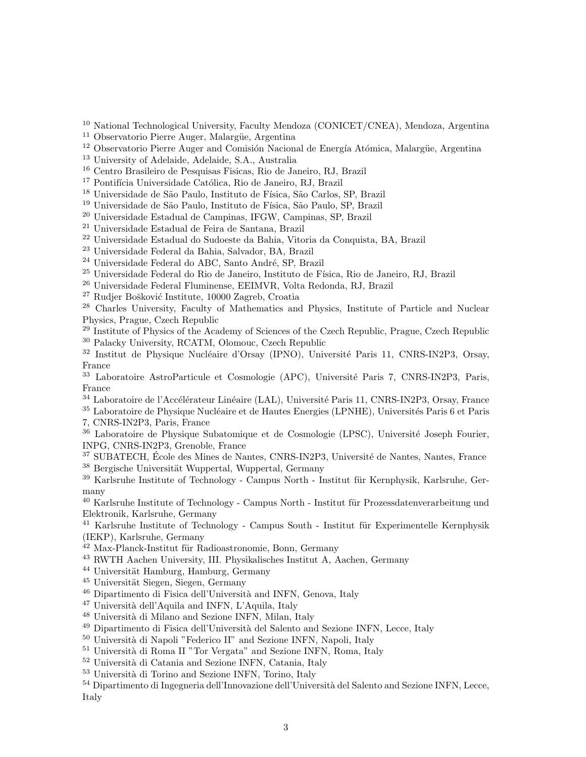<sup>10</sup> National Technological University, Faculty Mendoza (CONICET/CNEA), Mendoza, Argentina

<sup>11</sup> Observatorio Pierre Auger, Malargüe, Argentina

<sup>12</sup> Observatorio Pierre Auger and Comisión Nacional de Energía Atómica, Malargüe, Argentina

<sup>13</sup> University of Adelaide, Adelaide, S.A., Australia

<sup>16</sup> Centro Brasileiro de Pesquisas Fisicas, Rio de Janeiro, RJ, Brazil

<sup>17</sup> Pontifícia Universidade Católica, Rio de Janeiro, RJ, Brazil

<sup>18</sup> Universidade de São Paulo, Instituto de Física, São Carlos, SP, Brazil

<sup>19</sup> Universidade de São Paulo, Instituto de Física, São Paulo, SP, Brazil

<sup>20</sup> Universidade Estadual de Campinas, IFGW, Campinas, SP, Brazil

<sup>21</sup> Universidade Estadual de Feira de Santana, Brazil

<sup>22</sup> Universidade Estadual do Sudoeste da Bahia, Vitoria da Conquista, BA, Brazil

<sup>23</sup> Universidade Federal da Bahia, Salvador, BA, Brazil

<sup>24</sup> Universidade Federal do ABC, Santo André, SP, Brazil

 $^{25}$ Universidade Federal do Rio de Janeiro, Instituto de Física, Rio de Janeiro, RJ, Brazil

<sup>26</sup> Universidade Federal Fluminense, EEIMVR, Volta Redonda, RJ, Brazil

<sup>27</sup> Rudjer Bošković Institute, 10000 Zagreb, Croatia

<sup>28</sup> Charles University, Faculty of Mathematics and Physics, Institute of Particle and Nuclear Physics, Prague, Czech Republic

<sup>29</sup> Institute of Physics of the Academy of Sciences of the Czech Republic, Prague, Czech Republic <sup>30</sup> Palacky University, RCATM, Olomouc, Czech Republic

<sup>32</sup> Institut de Physique Nucléaire d'Orsay (IPNO), Université Paris 11, CNRS-IN2P3, Orsay, France

<sup>33</sup> Laboratoire AstroParticule et Cosmologie (APC), Université Paris 7, CNRS-IN2P3, Paris, France

<sup>34</sup> Laboratoire de l'Accélérateur Linéaire (LAL), Université Paris 11, CNRS-IN2P3, Orsay, France

<sup>35</sup> Laboratoire de Physique Nucléaire et de Hautes Energies (LPNHE), Universités Paris 6 et Paris 7, CNRS-IN2P3, Paris, France

 $36$  Laboratoire de Physique Subatomique et de Cosmologie (LPSC), Université Joseph Fourier, INPG, CNRS-IN2P3, Grenoble, France

 $37$  SUBATECH, École des Mines de Nantes, CNRS-IN2P3, Université de Nantes, Nantes, France <sup>38</sup> Bergische Universität Wuppertal, Wuppertal, Germany

 $^{39}$  Karlsruhe Institute of Technology - Campus North - Institut für Kernphysik, Karlsruhe, Germany

 $40$  Karlsruhe Institute of Technology - Campus North - Institut für Prozessdatenverarbeitung und Elektronik, Karlsruhe, Germany

<sup>41</sup> Karlsruhe Institute of Technology - Campus South - Institut für Experimentelle Kernphysik (IEKP), Karlsruhe, Germany

<sup>42</sup> Max-Planck-Institut für Radioastronomie, Bonn, Germany

<sup>43</sup> RWTH Aachen University, III. Physikalisches Institut A, Aachen, Germany

 $44$  Universität Hamburg, Hamburg, Germany

 $45$  Universität Siegen, Siegen, Germany

<sup>46</sup> Dipartimento di Fisica dell'Università and INFN, Genova, Italy

 $47$  Università dell'Aquila and INFN, L'Aquila, Italy

 $^{48}$  Università di Milano and Sezione INFN, Milan, Italy

<sup>49</sup> Dipartimento di Fisica dell'Università del Salento and Sezione INFN, Lecce, Italy

<sup>50</sup> Università di Napoli "Federico II" and Sezione INFN, Napoli, Italy

 $51$  Università di Roma II "Tor Vergata" and Sezione INFN, Roma, Italy

<sup>52</sup> Università di Catania and Sezione INFN, Catania, Italy

 $53$  Università di Torino and Sezione INFN, Torino, Italy

54 Dipartimento di Ingegneria dell'Innovazione dell'Università del Salento and Sezione INFN, Lecce, Italy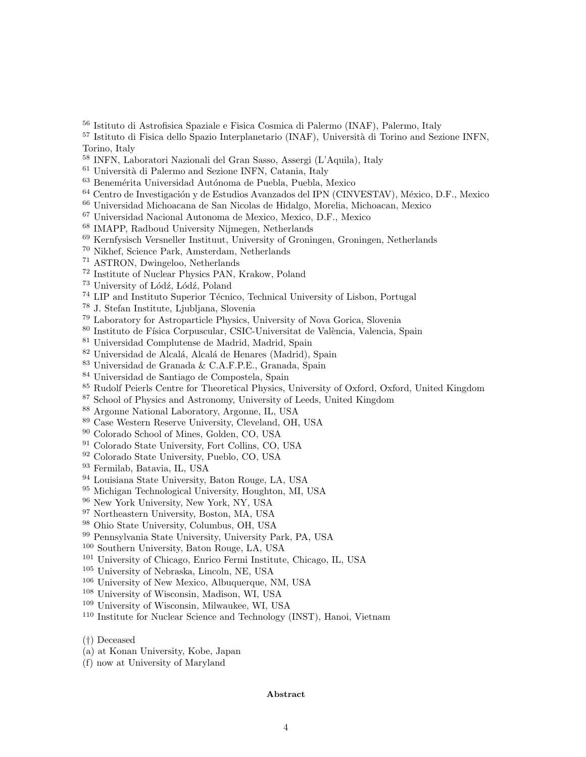Istituto di Astrofisica Spaziale e Fisica Cosmica di Palermo (INAF), Palermo, Italy

<sup>57</sup> Istituto di Fisica dello Spazio Interplanetario (INAF), Università di Torino and Sezione INFN, Torino, Italy

INFN, Laboratori Nazionali del Gran Sasso, Assergi (L'Aquila), Italy

Università di Palermo and Sezione INFN, Catania, Italy

 $^{63}$  Benemérita Universidad Autónoma de Puebla, Puebla, Mexico

<sup>64</sup> Centro de Investigación y de Estudios Avanzados del IPN (CINVESTAV), México, D.F., Mexico

Universidad Michoacana de San Nicolas de Hidalgo, Morelia, Michoacan, Mexico

Universidad Nacional Autonoma de Mexico, Mexico, D.F., Mexico

IMAPP, Radboud University Nijmegen, Netherlands

Kernfysisch Versneller Instituut, University of Groningen, Groningen, Netherlands

Nikhef, Science Park, Amsterdam, Netherlands

ASTRON, Dwingeloo, Netherlands

Institute of Nuclear Physics PAN, Krakow, Poland

<sup>73</sup> University of Lódź, Lódź, Poland

<sup>74</sup> LIP and Instituto Superior Técnico, Technical University of Lisbon, Portugal

J. Stefan Institute, Ljubljana, Slovenia

Laboratory for Astroparticle Physics, University of Nova Gorica, Slovenia

<sup>80</sup> Instituto de Física Corpuscular, CSIC-Universitat de València, Valencia, Spain

Universidad Complutense de Madrid, Madrid, Spain

<sup>82</sup> Universidad de Alcalá, Alcalá de Henares (Madrid), Spain

Universidad de Granada & C.A.F.P.E., Granada, Spain

Universidad de Santiago de Compostela, Spain

Rudolf Peierls Centre for Theoretical Physics, University of Oxford, Oxford, United Kingdom

School of Physics and Astronomy, University of Leeds, United Kingdom

Argonne National Laboratory, Argonne, IL, USA

Case Western Reserve University, Cleveland, OH, USA

Colorado School of Mines, Golden, CO, USA

Colorado State University, Fort Collins, CO, USA

Colorado State University, Pueblo, CO, USA

Fermilab, Batavia, IL, USA

Louisiana State University, Baton Rouge, LA, USA

Michigan Technological University, Houghton, MI, USA

New York University, New York, NY, USA

Northeastern University, Boston, MA, USA

Ohio State University, Columbus, OH, USA

Pennsylvania State University, University Park, PA, USA

Southern University, Baton Rouge, LA, USA

University of Chicago, Enrico Fermi Institute, Chicago, IL, USA

University of Nebraska, Lincoln, NE, USA

University of New Mexico, Albuquerque, NM, USA

University of Wisconsin, Madison, WI, USA

University of Wisconsin, Milwaukee, WI, USA

Institute for Nuclear Science and Technology (INST), Hanoi, Vietnam

(†) Deceased

(a) at Konan University, Kobe, Japan

(f) now at University of Maryland

Abstract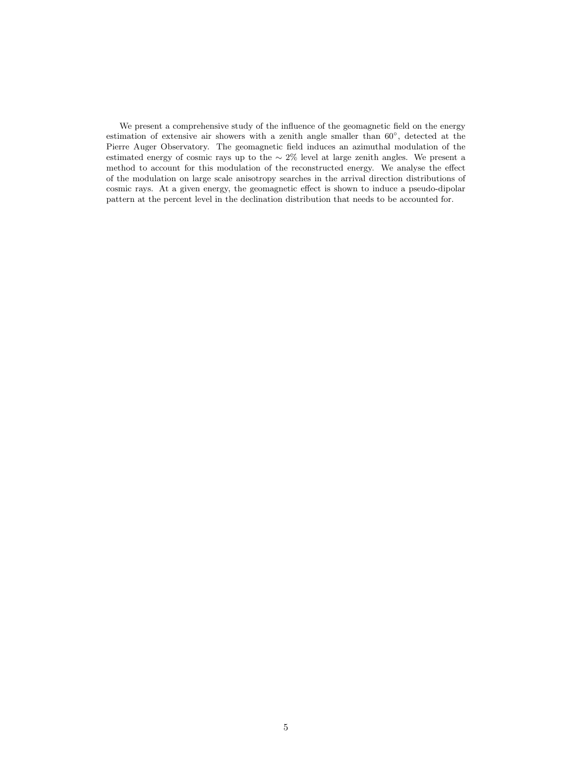We present a comprehensive study of the influence of the geomagnetic field on the energy estimation of extensive air showers with a zenith angle smaller than 60°, detected at the Pierre Auger Observatory. The geomagnetic field induces an azimuthal modulation of the estimated energy of cosmic rays up to the ∼ 2% level at large zenith angles. We present a method to account for this modulation of the reconstructed energy. We analyse the effect of the modulation on large scale anisotropy searches in the arrival direction distributions of cosmic rays. At a given energy, the geomagnetic effect is shown to induce a pseudo-dipolar pattern at the percent level in the declination distribution that needs to be accounted for.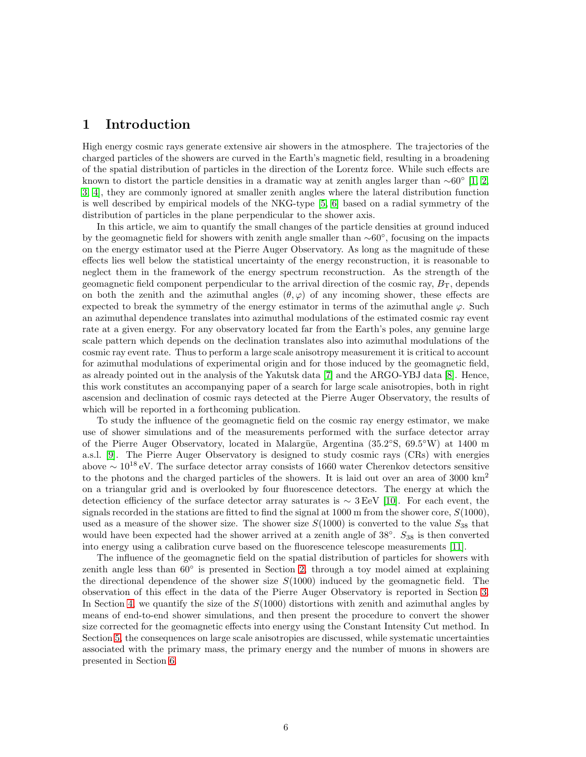### 1 Introduction

High energy cosmic rays generate extensive air showers in the atmosphere. The trajectories of the charged particles of the showers are curved in the Earth's magnetic field, resulting in a broadening of the spatial distribution of particles in the direction of the Lorentz force. While such effects are known to distort the particle densities in a dramatic way at zenith angles larger than  $\sim 60°$  [\[1,](#page-20-0) [2,](#page-20-1) [3,](#page-20-2) [4\]](#page-21-0), they are commonly ignored at smaller zenith angles where the lateral distribution function is well described by empirical models of the NKG-type [\[5,](#page-21-1) [6\]](#page-21-2) based on a radial symmetry of the distribution of particles in the plane perpendicular to the shower axis.

In this article, we aim to quantify the small changes of the particle densities at ground induced by the geomagnetic field for showers with zenith angle smaller than <sup>∼</sup>60◦ , focusing on the impacts on the energy estimator used at the Pierre Auger Observatory. As long as the magnitude of these effects lies well below the statistical uncertainty of the energy reconstruction, it is reasonable to neglect them in the framework of the energy spectrum reconstruction. As the strength of the geomagnetic field component perpendicular to the arrival direction of the cosmic ray,  $B_T$ , depends on both the zenith and the azimuthal angles  $(\theta, \varphi)$  of any incoming shower, these effects are expected to break the symmetry of the energy estimator in terms of the azimuthal angle  $\varphi$ . Such an azimuthal dependence translates into azimuthal modulations of the estimated cosmic ray event rate at a given energy. For any observatory located far from the Earth's poles, any genuine large scale pattern which depends on the declination translates also into azimuthal modulations of the cosmic ray event rate. Thus to perform a large scale anisotropy measurement it is critical to account for azimuthal modulations of experimental origin and for those induced by the geomagnetic field, as already pointed out in the analysis of the Yakutsk data [\[7\]](#page-21-3) and the ARGO-YBJ data [\[8\]](#page-21-4). Hence, this work constitutes an accompanying paper of a search for large scale anisotropies, both in right ascension and declination of cosmic rays detected at the Pierre Auger Observatory, the results of which will be reported in a forthcoming publication.

To study the influence of the geomagnetic field on the cosmic ray energy estimator, we make use of shower simulations and of the measurements performed with the surface detector array of the Pierre Auger Observatory, located in Malargüe, Argentina  $(35.2°S, 69.5°W)$  at 1400 m a.s.l. [\[9\]](#page-21-5). The Pierre Auger Observatory is designed to study cosmic rays (CRs) with energies above  $\sim 10^{18}$  eV. The surface detector array consists of 1660 water Cherenkov detectors sensitive to the photons and the charged particles of the showers. It is laid out over an area of  $3000 \text{ km}^2$ on a triangular grid and is overlooked by four fluorescence detectors. The energy at which the detection efficiency of the surface detector array saturates is  $\sim 3 \text{ EeV}$  [\[10\]](#page-21-6). For each event, the signals recorded in the stations are fitted to find the signal at 1000 m from the shower core,  $S(1000)$ , used as a measure of the shower size. The shower size  $S(1000)$  is converted to the value  $S_{38}$  that would have been expected had the shower arrived at a zenith angle of  $38°$ .  $S_{38}$  is then converted into energy using a calibration curve based on the fluorescence telescope measurements [\[11\]](#page-21-7).

The influence of the geomagnetic field on the spatial distribution of particles for showers with zenith angle less than 60◦ is presented in Section [2,](#page-8-0) through a toy model aimed at explaining the directional dependence of the shower size  $S(1000)$  induced by the geomagnetic field. The observation of this effect in the data of the Pierre Auger Observatory is reported in Section [3.](#page-10-0) In Section [4,](#page-12-0) we quantify the size of the  $S(1000)$  distortions with zenith and azimuthal angles by means of end-to-end shower simulations, and then present the procedure to convert the shower size corrected for the geomagnetic effects into energy using the Constant Intensity Cut method. In Section [5,](#page-15-0) the consequences on large scale anisotropies are discussed, while systematic uncertainties associated with the primary mass, the primary energy and the number of muons in showers are presented in Section [6.](#page-18-0)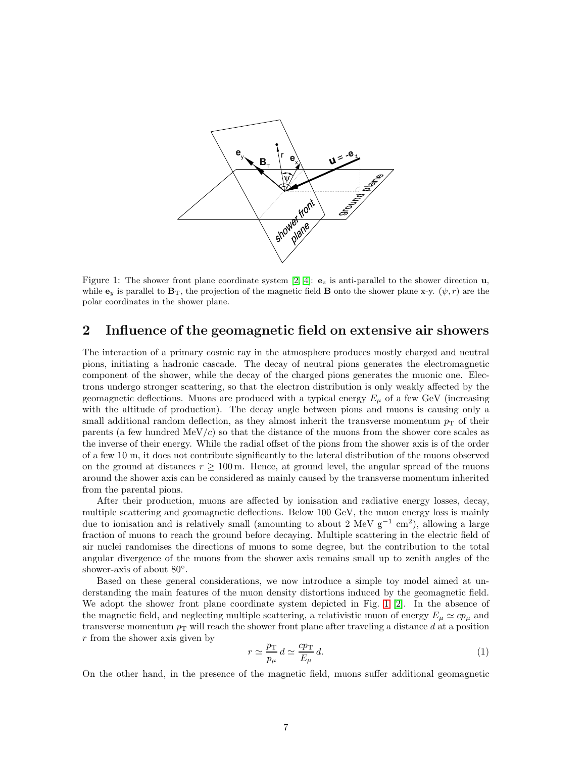

<span id="page-8-1"></span>Figure 1: The shower front plane coordinate system [\[2,](#page-20-1) [4\]](#page-21-0):  $\mathbf{e}_z$  is anti-parallel to the shower direction **u**, while  $\mathbf{e}_y$  is parallel to  $\mathbf{B}_T$ , the projection of the magnetic field **B** onto the shower plane x-y.  $(\psi, r)$  are the polar coordinates in the shower plane.

## <span id="page-8-0"></span>2 Influence of the geomagnetic field on extensive air showers

The interaction of a primary cosmic ray in the atmosphere produces mostly charged and neutral pions, initiating a hadronic cascade. The decay of neutral pions generates the electromagnetic component of the shower, while the decay of the charged pions generates the muonic one. Electrons undergo stronger scattering, so that the electron distribution is only weakly affected by the geomagnetic deflections. Muons are produced with a typical energy  $E_{\mu}$  of a few GeV (increasing with the altitude of production). The decay angle between pions and muons is causing only a small additional random deflection, as they almost inherit the transverse momentum  $p<sub>T</sub>$  of their parents (a few hundred  $\text{MeV}/c$ ) so that the distance of the muons from the shower core scales as the inverse of their energy. While the radial offset of the pions from the shower axis is of the order of a few 10 m, it does not contribute significantly to the lateral distribution of the muons observed on the ground at distances  $r \geq 100$  m. Hence, at ground level, the angular spread of the muons around the shower axis can be considered as mainly caused by the transverse momentum inherited from the parental pions.

After their production, muons are affected by ionisation and radiative energy losses, decay, multiple scattering and geomagnetic deflections. Below 100 GeV, the muon energy loss is mainly due to ionisation and is relatively small (amounting to about 2 MeV  $g^{-1}$  cm<sup>2</sup>), allowing a large fraction of muons to reach the ground before decaying. Multiple scattering in the electric field of air nuclei randomises the directions of muons to some degree, but the contribution to the total angular divergence of the muons from the shower axis remains small up to zenith angles of the shower-axis of about 80°.

Based on these general considerations, we now introduce a simple toy model aimed at understanding the main features of the muon density distortions induced by the geomagnetic field. We adopt the shower front plane coordinate system depicted in Fig. [1](#page-8-1) [\[2\]](#page-20-1). In the absence of the magnetic field, and neglecting multiple scattering, a relativistic muon of energy  $E_{\mu} \simeq c p_{\mu}$  and transverse momentum  $p<sub>T</sub>$  will reach the shower front plane after traveling a distance d at a position r from the shower axis given by

$$
r \simeq \frac{p_{\rm T}}{p_{\mu}} d \simeq \frac{c p_{\rm T}}{E_{\mu}} d. \tag{1}
$$

On the other hand, in the presence of the magnetic field, muons suffer additional geomagnetic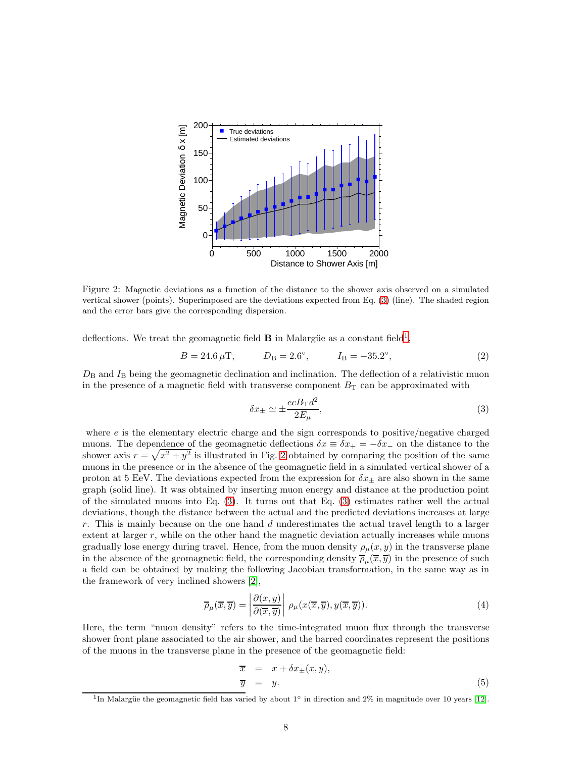

<span id="page-9-2"></span>Figure 2: Magnetic deviations as a function of the distance to the shower axis observed on a simulated vertical shower (points). Superimposed are the deviations expected from Eq. [\(3\)](#page-9-0) (line). The shaded region and the error bars give the corresponding dispersion.

deflections. We treat the geomagnetic field **B** in Malargüe as a constant field<sup>[1](#page-9-1)</sup>,

$$
B = 24.6 \,\mu\text{T}, \qquad D_{\text{B}} = 2.6^{\circ}, \qquad I_{\text{B}} = -35.2^{\circ}, \tag{2}
$$

 $D<sub>B</sub>$  and  $I<sub>B</sub>$  being the geomagnetic declination and inclination. The deflection of a relativistic muon in the presence of a magnetic field with transverse component  $B_T$  can be approximated with

<span id="page-9-0"></span>
$$
\delta x_{\pm} \simeq \pm \frac{ecB_{\rm T}d^2}{2E_{\mu}},\tag{3}
$$

where  $e$  is the elementary electric charge and the sign corresponds to positive/negative charged muons. The dependence of the geomagnetic deflections  $\delta x \equiv \delta x_+ = -\delta x_-$  on the distance to the shower axis  $r = \sqrt{x^2 + y^2}$  is illustrated in Fig. [2](#page-9-2) obtained by comparing the position of the same muons in the presence or in the absence of the geomagnetic field in a simulated vertical shower of a proton at 5 EeV. The deviations expected from the expression for  $\delta x_{\pm}$  are also shown in the same graph (solid line). It was obtained by inserting muon energy and distance at the production point of the simulated muons into Eq. [\(3\)](#page-9-0). It turns out that Eq. [\(3\)](#page-9-0) estimates rather well the actual deviations, though the distance between the actual and the predicted deviations increases at large r. This is mainly because on the one hand  $d$  underestimates the actual travel length to a larger extent at larger  $r$ , while on the other hand the magnetic deviation actually increases while muons gradually lose energy during travel. Hence, from the muon density  $\rho_{\mu}(x, y)$  in the transverse plane in the absence of the geomagnetic field, the corresponding density  $\overline{\rho}_{\mu}(\overline{x},\overline{y})$  in the presence of such a field can be obtained by making the following Jacobian transformation, in the same way as in the framework of very inclined showers [\[2\]](#page-20-1),

<span id="page-9-3"></span>
$$
\overline{\rho}_{\mu}(\overline{x}, \overline{y}) = \left| \frac{\partial(x, y)}{\partial(\overline{x}, \overline{y})} \right| \rho_{\mu}(x(\overline{x}, \overline{y}), y(\overline{x}, \overline{y})). \tag{4}
$$

Here, the term "muon density" refers to the time-integrated muon flux through the transverse shower front plane associated to the air shower, and the barred coordinates represent the positions of the muons in the transverse plane in the presence of the geomagnetic field:

$$
\overline{x} = x + \delta x_{\pm}(x, y), \n\overline{y} = y.
$$
\n(5)

<span id="page-9-1"></span><sup>&</sup>lt;sup>1</sup>In Malargüe the geomagnetic field has varied by about 1<sup>°</sup> in direction and 2% in magnitude over 10 years [\[12\]](#page-21-8).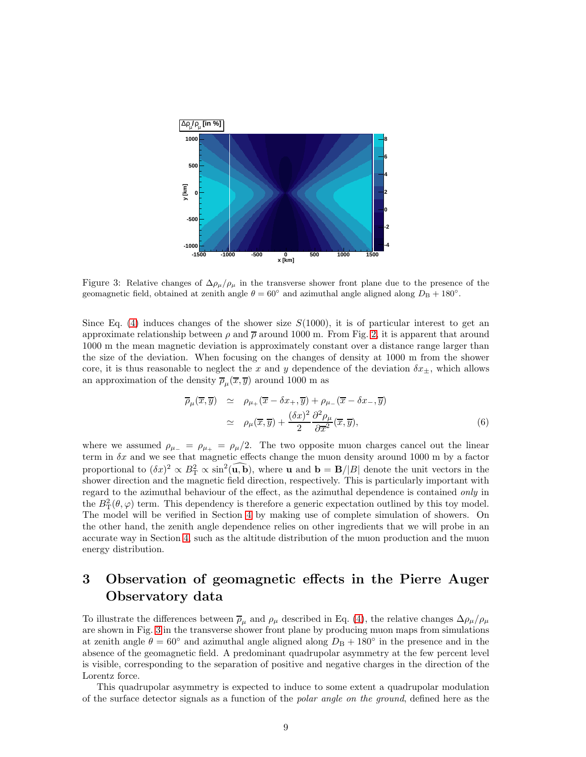

<span id="page-10-1"></span>Figure 3: Relative changes of  $\Delta \rho_\mu / \rho_\mu$  in the transverse shower front plane due to the presence of the geomagnetic field, obtained at zenith angle  $\theta = 60^\circ$  and azimuthal angle aligned along  $D_B + 180^\circ$ .

Since Eq. [\(4\)](#page-9-3) induces changes of the shower size  $S(1000)$ , it is of particular interest to get an approximate relationship between  $\rho$  and  $\overline{\rho}$  around 1000 m. From Fig. [2,](#page-9-2) it is apparent that around 1000 m the mean magnetic deviation is approximately constant over a distance range larger than the size of the deviation. When focusing on the changes of density at 1000 m from the shower core, it is thus reasonable to neglect the x and y dependence of the deviation  $\delta x_{\pm}$ , which allows an approximation of the density  $\overline{\rho}_{\mu}(\overline{x}, \overline{y})$  around 1000 m as

<span id="page-10-2"></span>
$$
\overline{\rho}_{\mu}(\overline{x}, \overline{y}) \simeq \rho_{\mu_{+}}(\overline{x} - \delta x_{+}, \overline{y}) + \rho_{\mu_{-}}(\overline{x} - \delta x_{-}, \overline{y})
$$
\n
$$
\simeq \rho_{\mu}(\overline{x}, \overline{y}) + \frac{(\delta x)^{2}}{2} \frac{\partial^{2} \rho_{\mu}}{\partial \overline{x}^{2}} (\overline{x}, \overline{y}), \tag{6}
$$

where we assumed  $\rho_{\mu_-} = \rho_{\mu_+} = \rho_{\mu_+}/2$ . The two opposite muon charges cancel out the linear term in  $\delta x$  and we see that magnetic effects change the muon density around 1000 m by a factor proportional to  $(\delta x)^2 \propto B_{\rm T}^2 \propto \sin^2(\overline{\mathbf{u}}, \overline{\mathbf{b}})$ , where **u** and  $\mathbf{b} = \mathbf{B}/|B|$  denote the unit vectors in the shower direction and the magnetic field direction, respectively. This is particularly important with regard to the azimuthal behaviour of the effect, as the azimuthal dependence is contained only in the  $B_T^2(\theta, \varphi)$  term. This dependency is therefore a generic expectation outlined by this toy model. The model will be verified in Section [4](#page-12-0) by making use of complete simulation of showers. On the other hand, the zenith angle dependence relies on other ingredients that we will probe in an accurate way in Section [4,](#page-12-0) such as the altitude distribution of the muon production and the muon energy distribution.

# <span id="page-10-0"></span>3 Observation of geomagnetic effects in the Pierre Auger Observatory data

To illustrate the differences between  $\overline{\rho}_{\mu}$  and  $\rho_{\mu}$  described in Eq. [\(4\)](#page-9-3), the relative changes  $\Delta \rho_{\mu}/\rho_{\mu}$ are shown in Fig. [3](#page-10-1) in the transverse shower front plane by producing muon maps from simulations at zenith angle  $\theta = 60^{\circ}$  and azimuthal angle aligned along  $D_{\rm B} + 180^{\circ}$  in the presence and in the absence of the geomagnetic field. A predominant quadrupolar asymmetry at the few percent level is visible, corresponding to the separation of positive and negative charges in the direction of the Lorentz force.

This quadrupolar asymmetry is expected to induce to some extent a quadrupolar modulation of the surface detector signals as a function of the polar angle on the ground, defined here as the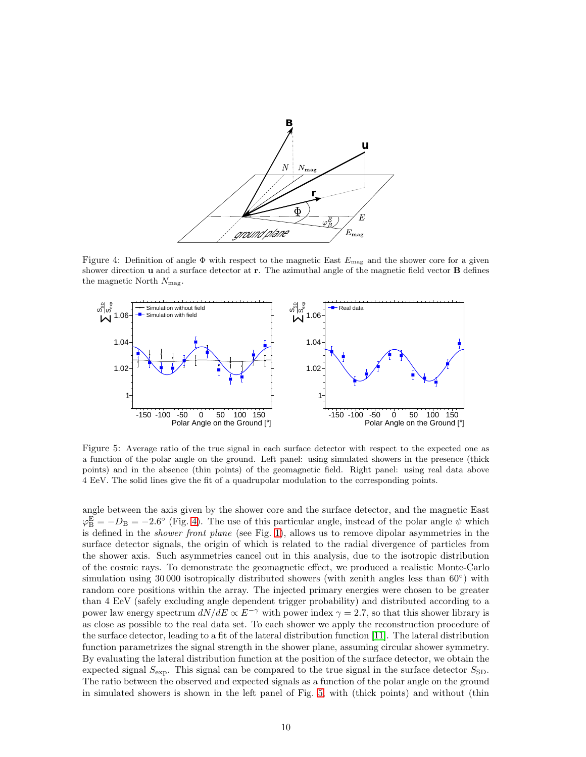

<span id="page-11-0"></span>Figure 4: Definition of angle  $\Phi$  with respect to the magnetic East  $E_{\text{mag}}$  and the shower core for a given shower direction **u** and a surface detector at **r**. The azimuthal angle of the magnetic field vector **B** defines the magnetic North  $N_{\text{mag}}$ .



<span id="page-11-1"></span>Figure 5: Average ratio of the true signal in each surface detector with respect to the expected one as a function of the polar angle on the ground. Left panel: using simulated showers in the presence (thick points) and in the absence (thin points) of the geomagnetic field. Right panel: using real data above 4 EeV. The solid lines give the fit of a quadrupolar modulation to the corresponding points.

angle between the axis given by the shower core and the surface detector, and the magnetic East  $\varphi_{\rm B}^{\rm E} = -D_{\rm B} = -2.6^{\circ}$  (Fig. [4\)](#page-11-0). The use of this particular angle, instead of the polar angle  $\psi$  which is defined in the shower front plane (see Fig. [1\)](#page-8-1), allows us to remove dipolar asymmetries in the surface detector signals, the origin of which is related to the radial divergence of particles from the shower axis. Such asymmetries cancel out in this analysis, due to the isotropic distribution of the cosmic rays. To demonstrate the geomagnetic effect, we produced a realistic Monte-Carlo simulation using 30000 isotropically distributed showers (with zenith angles less than 60<sup>°</sup>) with random core positions within the array. The injected primary energies were chosen to be greater than 4 EeV (safely excluding angle dependent trigger probability) and distributed according to a power law energy spectrum  $dN/dE \propto E^{-\gamma}$  with power index  $\gamma = 2.7$ , so that this shower library is as close as possible to the real data set. To each shower we apply the reconstruction procedure of the surface detector, leading to a fit of the lateral distribution function [\[11\]](#page-21-7). The lateral distribution function parametrizes the signal strength in the shower plane, assuming circular shower symmetry. By evaluating the lateral distribution function at the position of the surface detector, we obtain the expected signal  $S_{\text{exp}}$ . This signal can be compared to the true signal in the surface detector  $S_{\text{SD}}$ . The ratio between the observed and expected signals as a function of the polar angle on the ground in simulated showers is shown in the left panel of Fig. [5,](#page-11-1) with (thick points) and without (thin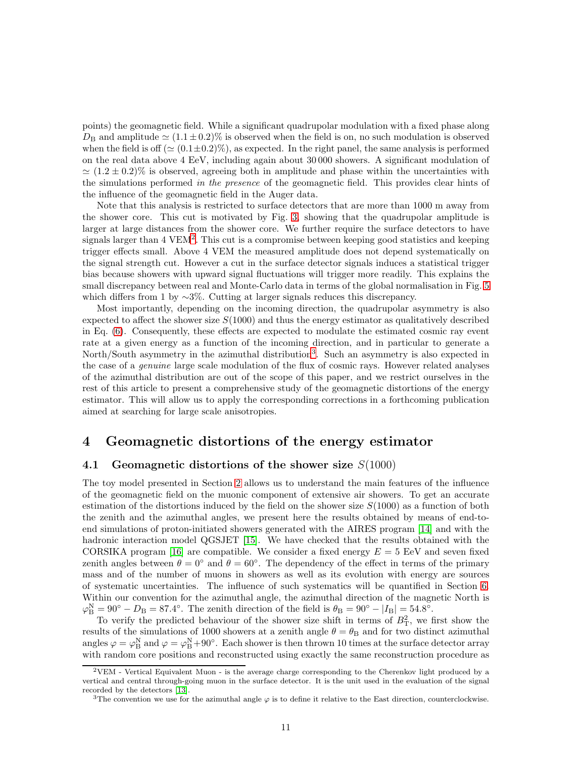points) the geomagnetic field. While a significant quadrupolar modulation with a fixed phase along  $D_{\rm B}$  and amplitude  $\simeq (1.1 \pm 0.2)\%$  is observed when the field is on, no such modulation is observed when the field is off ( $\simeq (0.1 \pm 0.2)\%$ ), as expected. In the right panel, the same analysis is performed on the real data above 4 EeV, including again about 30 000 showers. A significant modulation of  $\simeq (1.2 \pm 0.2)\%$  is observed, agreeing both in amplitude and phase within the uncertainties with the simulations performed in the presence of the geomagnetic field. This provides clear hints of the influence of the geomagnetic field in the Auger data.

Note that this analysis is restricted to surface detectors that are more than 1000 m away from the shower core. This cut is motivated by Fig. [3,](#page-10-1) showing that the quadrupolar amplitude is larger at large distances from the shower core. We further require the surface detectors to have signals larger than 4 VEM<sup>[2](#page-12-1)</sup>. This cut is a compromise between keeping good statistics and keeping trigger effects small. Above 4 VEM the measured amplitude does not depend systematically on the signal strength cut. However a cut in the surface detector signals induces a statistical trigger bias because showers with upward signal fluctuations will trigger more readily. This explains the small discrepancy between real and Monte-Carlo data in terms of the global normalisation in Fig. [5](#page-11-1) which differs from 1 by  $\sim$ 3%. Cutting at larger signals reduces this discrepancy.

Most importantly, depending on the incoming direction, the quadrupolar asymmetry is also expected to affect the shower size  $S(1000)$  and thus the energy estimator as qualitatively described in Eq. [\(6\)](#page-10-2). Consequently, these effects are expected to modulate the estimated cosmic ray event rate at a given energy as a function of the incoming direction, and in particular to generate a North/South asymmetry in the azimuthal distribution<sup>[3](#page-12-2)</sup>. Such an asymmetry is also expected in the case of a genuine large scale modulation of the flux of cosmic rays. However related analyses of the azimuthal distribution are out of the scope of this paper, and we restrict ourselves in the rest of this article to present a comprehensive study of the geomagnetic distortions of the energy estimator. This will allow us to apply the corresponding corrections in a forthcoming publication aimed at searching for large scale anisotropies.

## <span id="page-12-0"></span>4 Geomagnetic distortions of the energy estimator

#### 4.1 Geomagnetic distortions of the shower size  $S(1000)$

The toy model presented in Section [2](#page-8-0) allows us to understand the main features of the influence of the geomagnetic field on the muonic component of extensive air showers. To get an accurate estimation of the distortions induced by the field on the shower size  $S(1000)$  as a function of both the zenith and the azimuthal angles, we present here the results obtained by means of end-toend simulations of proton-initiated showers generated with the AIRES program [\[14\]](#page-21-9) and with the hadronic interaction model QGSJET [\[15\]](#page-21-10). We have checked that the results obtained with the CORSIKA program [\[16\]](#page-21-11) are compatible. We consider a fixed energy  $E = 5$  EeV and seven fixed zenith angles between  $\theta = 0^{\circ}$  and  $\theta = 60^{\circ}$ . The dependency of the effect in terms of the primary mass and of the number of muons in showers as well as its evolution with energy are sources of systematic uncertainties. The influence of such systematics will be quantified in Section [6.](#page-18-0) Within our convention for the azimuthal angle, the azimuthal direction of the magnetic North is  $\varphi_{\rm B}^{\rm N} = 90^{\circ} - D_{\rm B} = 87.4^{\circ}$ . The zenith direction of the field is  $\theta_{\rm B} = 90^{\circ} - |I_{\rm B}| = 54.8^{\circ}$ .

To verify the predicted behaviour of the shower size shift in terms of  $B<sub>T</sub><sup>2</sup>$ , we first show the results of the simulations of 1000 showers at a zenith angle  $\theta = \theta_{\rm B}$  and for two distinct azimuthal angles  $\varphi = \varphi_B^N$  and  $\varphi = \varphi_B^N + 90^\circ$ . Each shower is then thrown 10 times at the surface detector array with random core positions and reconstructed using exactly the same reconstruction procedure as

<span id="page-12-1"></span> $2VEM$  - Vertical Equivalent Muon - is the average charge corresponding to the Cherenkov light produced by a vertical and central through-going muon in the surface detector. It is the unit used in the evaluation of the signal recorded by the detectors [\[13\]](#page-21-12).

<span id="page-12-2"></span><sup>&</sup>lt;sup>3</sup>The convention we use for the azimuthal angle  $\varphi$  is to define it relative to the East direction, counterclockwise.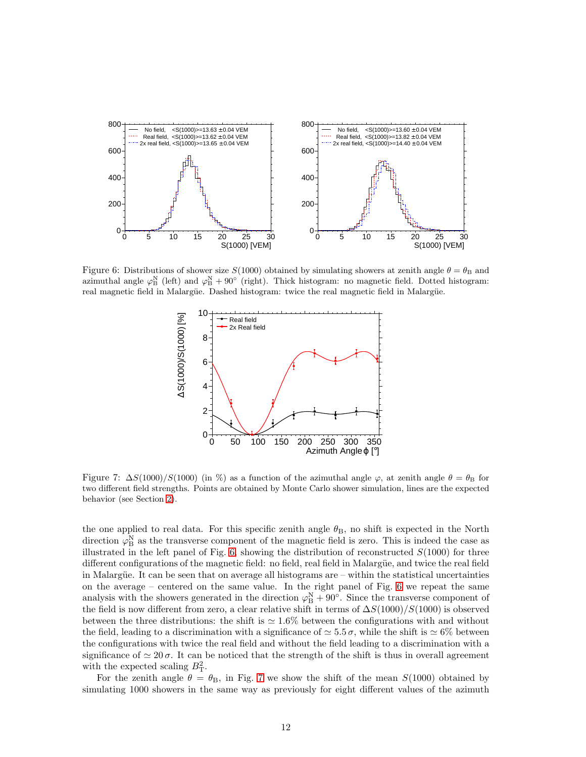

<span id="page-13-0"></span>Figure 6: Distributions of shower size  $S(1000)$  obtained by simulating showers at zenith angle  $\theta = \theta_B$  and azimuthal angle  $\varphi_B^N$  (left) and  $\varphi_B^N + 90^\circ$  (right). Thick histogram: no magnetic field. Dotted histogram: real magnetic field in Malargüe. Dashed histogram: twice the real magnetic field in Malargüe.



<span id="page-13-1"></span>Figure 7:  $\Delta S(1000)/S(1000)$  (in %) as a function of the azimuthal angle  $\varphi$ , at zenith angle  $\theta = \theta_B$  for two different field strengths. Points are obtained by Monte Carlo shower simulation, lines are the expected behavior (see Section [2\)](#page-8-0).

the one applied to real data. For this specific zenith angle  $\theta_{\rm B}$ , no shift is expected in the North direction  $\varphi_B^N$  as the transverse component of the magnetic field is zero. This is indeed the case as illustrated in the left panel of Fig.  $6$ , showing the distribution of reconstructed  $S(1000)$  for three different configurations of the magnetic field: no field, real field in Malargüe, and twice the real field in Malargüe. It can be seen that on average all histograms are – within the statistical uncertainties on the average – centered on the same value. In the right panel of Fig. [6](#page-13-0) we repeat the same analysis with the showers generated in the direction  $\varphi_B^N + 90^\circ$ . Since the transverse component of the field is now different from zero, a clear relative shift in terms of  $\Delta S(1000)/S(1000)$  is observed between the three distributions: the shift is  $\simeq 1.6\%$  between the configurations with and without the field, leading to a discrimination with a significance of  $\simeq 5.5 \sigma$ , while the shift is  $\simeq 6\%$  between the configurations with twice the real field and without the field leading to a discrimination with a significance of  $\simeq 20 \sigma$ . It can be noticed that the strength of the shift is thus in overall agreement with the expected scaling  $B<sub>T</sub><sup>2</sup>$ .

For the zenith angle  $\theta = \theta_B$ , in Fig. [7](#page-13-1) we show the shift of the mean  $S(1000)$  obtained by simulating 1000 showers in the same way as previously for eight different values of the azimuth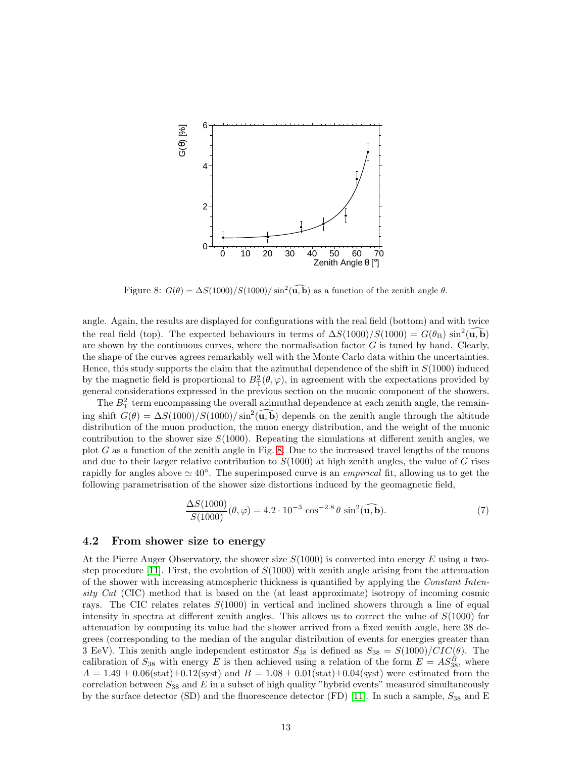

<span id="page-14-0"></span>Figure 8:  $G(\theta) = \Delta S(1000)/S(1000)/\sin^2(\widehat{\mathbf{u}, \mathbf{b}})$  as a function of the zenith angle  $\theta$ .

angle. Again, the results are displayed for configurations with the real field (bottom) and with twice the real field (top). The expected behaviours in terms of  $\Delta S(1000)/S(1000) = G(\theta_{\rm B}) \sin^2(\widehat{{\bf u},{\bf b}})$ are shown by the continuous curves, where the normalisation factor  $G$  is tuned by hand. Clearly, the shape of the curves agrees remarkably well with the Monte Carlo data within the uncertainties. Hence, this study supports the claim that the azimuthal dependence of the shift in  $S(1000)$  induced by the magnetic field is proportional to  $B_T^2(\theta, \varphi)$ , in agreement with the expectations provided by general considerations expressed in the previous section on the muonic component of the showers.

The  $B<sub>T</sub><sup>2</sup>$  term encompassing the overall azimuthal dependence at each zenith angle, the remaining shift  $G(\theta) = \Delta S(1000)/S(1000)/\sin^2(\widehat{\mathbf{u}, \mathbf{b}})$  depends on the zenith angle through the altitude distribution of the muon production, the muon energy distribution, and the weight of the muonic contribution to the shower size  $S(1000)$ . Repeating the simulations at different zenith angles, we plot  $G$  as a function of the zenith angle in Fig. [8.](#page-14-0) Due to the increased travel lengths of the muons and due to their larger relative contribution to  $S(1000)$  at high zenith angles, the value of G rises rapidly for angles above  $\simeq 40^{\circ}$ . The superimposed curve is an *empirical* fit, allowing us to get the following parametrisation of the shower size distortions induced by the geomagnetic field,

<span id="page-14-1"></span>
$$
\frac{\Delta S(1000)}{S(1000)}(\theta,\varphi) = 4.2 \cdot 10^{-3} \cos^{-2.8} \theta \sin^2(\widehat{\mathbf{u},\mathbf{b}}). \tag{7}
$$

#### 4.2 From shower size to energy

At the Pierre Auger Observatory, the shower size  $S(1000)$  is converted into energy E using a two-step procedure [\[11\]](#page-21-7). First, the evolution of  $S(1000)$  with zenith angle arising from the attenuation of the shower with increasing atmospheric thickness is quantified by applying the Constant Intensity Cut (CIC) method that is based on the (at least approximate) isotropy of incoming cosmic rays. The CIC relates relates  $S(1000)$  in vertical and inclined showers through a line of equal intensity in spectra at different zenith angles. This allows us to correct the value of  $S(1000)$  for attenuation by computing its value had the shower arrived from a fixed zenith angle, here 38 degrees (corresponding to the median of the angular distribution of events for energies greater than 3 EeV). This zenith angle independent estimator  $S_{38}$  is defined as  $S_{38} = S(1000)/CIC(\theta)$ . The calibration of  $S_{38}$  with energy E is then achieved using a relation of the form  $E = AS_{38}^B$ , where  $A = 1.49 \pm 0.06$ (stat) $\pm 0.12$ (syst) and  $B = 1.08 \pm 0.01$ (stat) $\pm 0.04$ (syst) were estimated from the correlation between  $S_{38}$  and E in a subset of high quality "hybrid events" measured simultaneously by the surface detector (SD) and the fluorescence detector (FD) [\[11\]](#page-21-7). In such a sample,  $S_{38}$  and E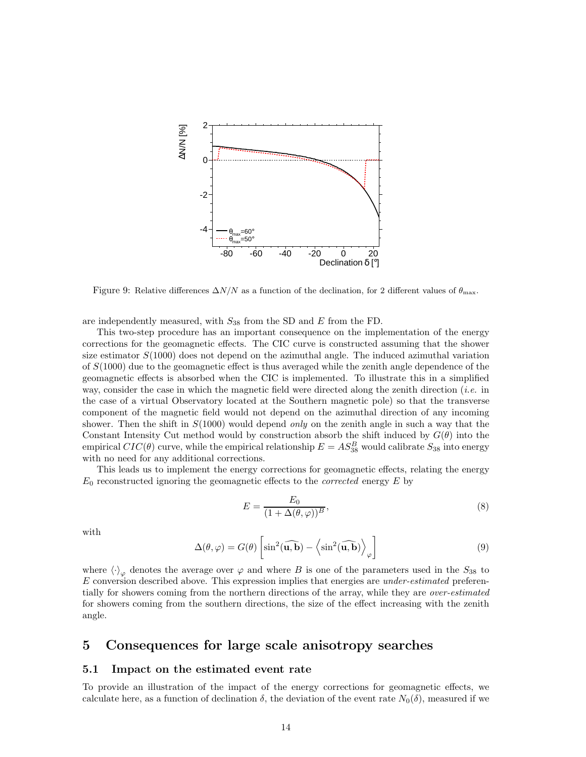

<span id="page-15-2"></span>Figure 9: Relative differences  $\Delta N/N$  as a function of the declination, for 2 different values of  $\theta_{\text{max}}$ .

are independently measured, with  $S_{38}$  from the SD and E from the FD.

This two-step procedure has an important consequence on the implementation of the energy corrections for the geomagnetic effects. The CIC curve is constructed assuming that the shower size estimator  $S(1000)$  does not depend on the azimuthal angle. The induced azimuthal variation of  $S(1000)$  due to the geomagnetic effect is thus averaged while the zenith angle dependence of the geomagnetic effects is absorbed when the CIC is implemented. To illustrate this in a simplified way, consider the case in which the magnetic field were directed along the zenith direction (*i.e.* in the case of a virtual Observatory located at the Southern magnetic pole) so that the transverse component of the magnetic field would not depend on the azimuthal direction of any incoming shower. Then the shift in  $S(1000)$  would depend *only* on the zenith angle in such a way that the Constant Intensity Cut method would by construction absorb the shift induced by  $G(\theta)$  into the empirical  $CIC(\theta)$  curve, while the empirical relationship  $E = AS_{38}^B$  would calibrate  $S_{38}$  into energy with no need for any additional corrections.

This leads us to implement the energy corrections for geomagnetic effects, relating the energy  $E_0$  reconstructed ignoring the geomagnetic effects to the *corrected* energy  $E$  by

<span id="page-15-1"></span>
$$
E = \frac{E_0}{(1 + \Delta(\theta, \varphi))^B},\tag{8}
$$

with

$$
\Delta(\theta, \varphi) = G(\theta) \left[ \sin^2(\widehat{\mathbf{u}, \mathbf{b}}) - \left\langle \sin^2(\widehat{\mathbf{u}, \mathbf{b}}) \right\rangle_{\varphi} \right]
$$
(9)

where  $\langle \cdot \rangle_{\varphi}$  denotes the average over  $\varphi$  and where B is one of the parameters used in the  $S_{38}$  to E conversion described above. This expression implies that energies are under-estimated preferentially for showers coming from the northern directions of the array, while they are over-estimated for showers coming from the southern directions, the size of the effect increasing with the zenith angle.

## <span id="page-15-0"></span>5 Consequences for large scale anisotropy searches

#### 5.1 Impact on the estimated event rate

To provide an illustration of the impact of the energy corrections for geomagnetic effects, we calculate here, as a function of declination  $\delta$ , the deviation of the event rate  $N_0(\delta)$ , measured if we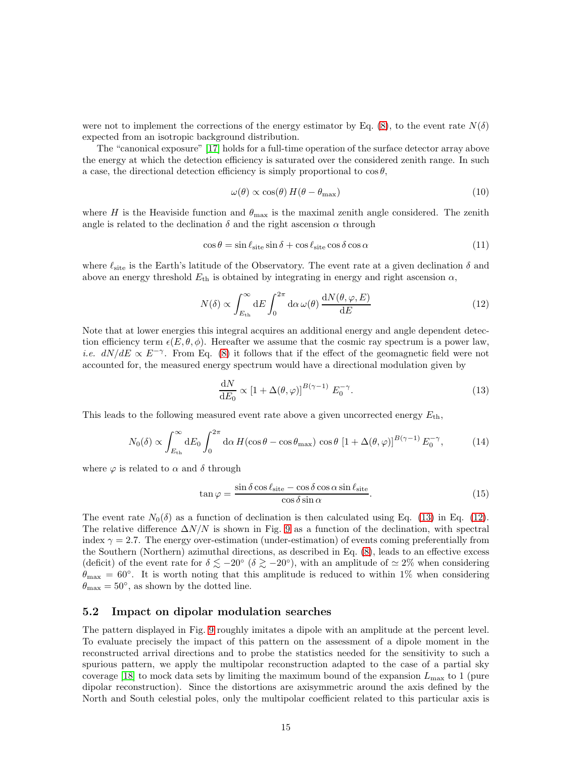were not to implement the corrections of the energy estimator by Eq. [\(8\)](#page-15-1), to the event rate  $N(\delta)$ expected from an isotropic background distribution.

The "canonical exposure" [\[17\]](#page-21-13) holds for a full-time operation of the surface detector array above the energy at which the detection efficiency is saturated over the considered zenith range. In such a case, the directional detection efficiency is simply proportional to  $\cos \theta$ ,

<span id="page-16-2"></span><span id="page-16-1"></span>
$$
\omega(\theta) \propto \cos(\theta) H(\theta - \theta_{\text{max}}) \tag{10}
$$

where H is the Heaviside function and  $\theta_{\text{max}}$  is the maximal zenith angle considered. The zenith angle is related to the declination  $\delta$  and the right ascension  $\alpha$  through

$$
\cos \theta = \sin \ell_{\text{site}} \sin \delta + \cos \ell_{\text{site}} \cos \delta \cos \alpha \tag{11}
$$

where  $\ell_{\text{site}}$  is the Earth's latitude of the Observatory. The event rate at a given declination  $\delta$  and above an energy threshold  $E_{\text{th}}$  is obtained by integrating in energy and right ascension  $\alpha$ ,

$$
N(\delta) \propto \int_{E_{\text{th}}}^{\infty} dE \int_{0}^{2\pi} d\alpha \,\omega(\theta) \,\frac{dN(\theta, \varphi, E)}{dE}
$$
\n(12)

Note that at lower energies this integral acquires an additional energy and angle dependent detection efficiency term  $\epsilon(E, \theta, \phi)$ . Hereafter we assume that the cosmic ray spectrum is a power law, *i.e.*  $dN/dE \propto E^{-\gamma}$ . From Eq. [\(8\)](#page-15-1) it follows that if the effect of the geomagnetic field were not accounted for, the measured energy spectrum would have a directional modulation given by

<span id="page-16-0"></span>
$$
\frac{\mathrm{d}N}{\mathrm{d}E_0} \propto \left[1 + \Delta(\theta, \varphi)\right]^{B(\gamma - 1)} E_0^{-\gamma}.\tag{13}
$$

This leads to the following measured event rate above a given uncorrected energy  $E_{\text{th}}$ ,

$$
N_0(\delta) \propto \int_{E_{\text{th}}}^{\infty} dE_0 \int_0^{2\pi} d\alpha \, H(\cos\theta - \cos\theta_{\text{max}}) \, \cos\theta \, \left[1 + \Delta(\theta, \varphi)\right]^{B(\gamma - 1)} E_0^{-\gamma},\tag{14}
$$

where  $\varphi$  is related to  $\alpha$  and  $\delta$  through

$$
\tan \varphi = \frac{\sin \delta \cos \ell_{\text{site}} - \cos \delta \cos \alpha \sin \ell_{\text{site}}}{\cos \delta \sin \alpha}.
$$
\n(15)

The event rate  $N_0(\delta)$  as a function of declination is then calculated using Eq. [\(13\)](#page-16-0) in Eq. [\(12\)](#page-16-1). The relative difference  $\Delta N/N$  is shown in Fig. [9](#page-15-2) as a function of the declination, with spectral index  $\gamma = 2.7$ . The energy over-estimation (under-estimation) of events coming preferentially from the Southern (Northern) azimuthal directions, as described in Eq. [\(8\)](#page-15-1), leads to an effective excess (deficit) of the event rate for  $\delta \lesssim -20^{\circ}$  ( $\delta \gtrsim -20^{\circ}$ ), with an amplitude of  $\simeq 2\%$  when considering  $\theta_{\text{max}} = 60^{\circ}$ . It is worth noting that this amplitude is reduced to within 1% when considering  $\theta_{\text{max}} = 50^{\circ}$ , as shown by the dotted line.

#### 5.2 Impact on dipolar modulation searches

The pattern displayed in Fig. [9](#page-15-2) roughly imitates a dipole with an amplitude at the percent level. To evaluate precisely the impact of this pattern on the assessment of a dipole moment in the reconstructed arrival directions and to probe the statistics needed for the sensitivity to such a spurious pattern, we apply the multipolar reconstruction adapted to the case of a partial sky coverage [\[18\]](#page-21-14) to mock data sets by limiting the maximum bound of the expansion  $L_{\text{max}}$  to 1 (pure dipolar reconstruction). Since the distortions are axisymmetric around the axis defined by the North and South celestial poles, only the multipolar coefficient related to this particular axis is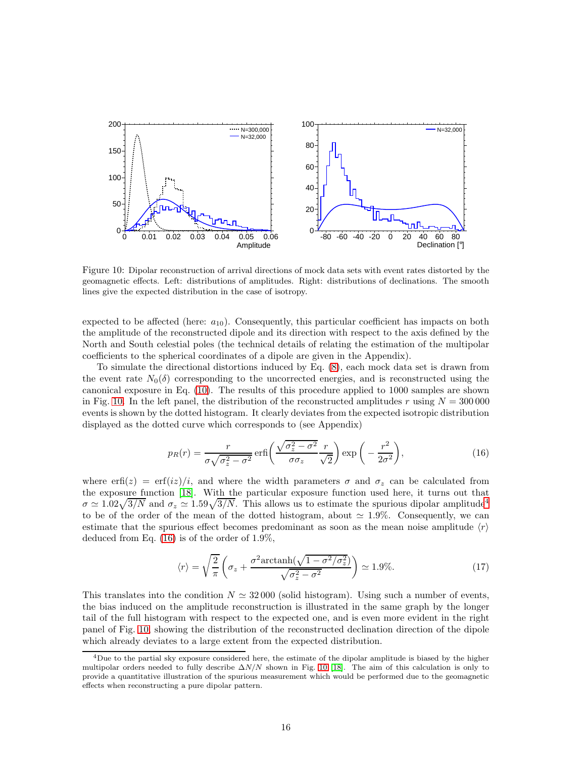

<span id="page-17-0"></span>Figure 10: Dipolar reconstruction of arrival directions of mock data sets with event rates distorted by the geomagnetic effects. Left: distributions of amplitudes. Right: distributions of declinations. The smooth lines give the expected distribution in the case of isotropy.

expected to be affected (here:  $a_{10}$ ). Consequently, this particular coefficient has impacts on both the amplitude of the reconstructed dipole and its direction with respect to the axis defined by the North and South celestial poles (the technical details of relating the estimation of the multipolar coefficients to the spherical coordinates of a dipole are given in the Appendix).

To simulate the directional distortions induced by Eq. [\(8\)](#page-15-1), each mock data set is drawn from the event rate  $N_0(\delta)$  corresponding to the uncorrected energies, and is reconstructed using the canonical exposure in Eq. [\(10\)](#page-16-2). The results of this procedure applied to 1000 samples are shown in Fig. [10.](#page-17-0) In the left panel, the distribution of the reconstructed amplitudes r using  $N = 300000$ events is shown by the dotted histogram. It clearly deviates from the expected isotropic distribution displayed as the dotted curve which corresponds to (see Appendix)

<span id="page-17-2"></span>
$$
p_R(r) = \frac{r}{\sigma \sqrt{\sigma_z^2 - \sigma^2}} \operatorname{erfi}\left(\frac{\sqrt{\sigma_z^2 - \sigma^2}}{\sigma \sigma_z} \frac{r}{\sqrt{2}}\right) \exp\left(-\frac{r^2}{2\sigma^2}\right),\tag{16}
$$

where erf $(z) = erf(iz)/i$ , and where the width parameters  $\sigma$  and  $\sigma_z$  can be calculated from the exposure function [\[18\]](#page-21-14). With the particular exposure function used here, it turns out that  $\sigma \simeq 1.02\sqrt{3/N}$  and  $\sigma_z \simeq 1.59\sqrt{3/N}$ . This allows us to estimate the spurious dipolar amplitude<sup>[4](#page-17-1)</sup> to be of the order of the mean of the dotted histogram, about  $\simeq 1.9\%$ . Consequently, we can estimate that the spurious effect becomes predominant as soon as the mean noise amplitude  $\langle r \rangle$ deduced from Eq. [\(16\)](#page-17-2) is of the order of 1.9%,

$$
\langle r \rangle = \sqrt{\frac{2}{\pi}} \left( \sigma_z + \frac{\sigma^2 \text{arctanh}(\sqrt{1 - \sigma^2/\sigma_z^2})}{\sqrt{\sigma_z^2 - \sigma^2}} \right) \simeq 1.9\%.
$$
 (17)

This translates into the condition  $N \simeq 32000$  (solid histogram). Using such a number of events, the bias induced on the amplitude reconstruction is illustrated in the same graph by the longer tail of the full histogram with respect to the expected one, and is even more evident in the right panel of Fig. [10,](#page-17-0) showing the distribution of the reconstructed declination direction of the dipole which already deviates to a large extent from the expected distribution.

<span id="page-17-1"></span><sup>&</sup>lt;sup>4</sup>Due to the partial sky exposure considered here, the estimate of the dipolar amplitude is biased by the higher multipolar orders needed to fully describe  $\Delta N/N$  shown in Fig. [10](#page-17-0) [\[18\]](#page-21-14). The aim of this calculation is only to provide a quantitative illustration of the spurious measurement which would be performed due to the geomagnetic effects when reconstructing a pure dipolar pattern.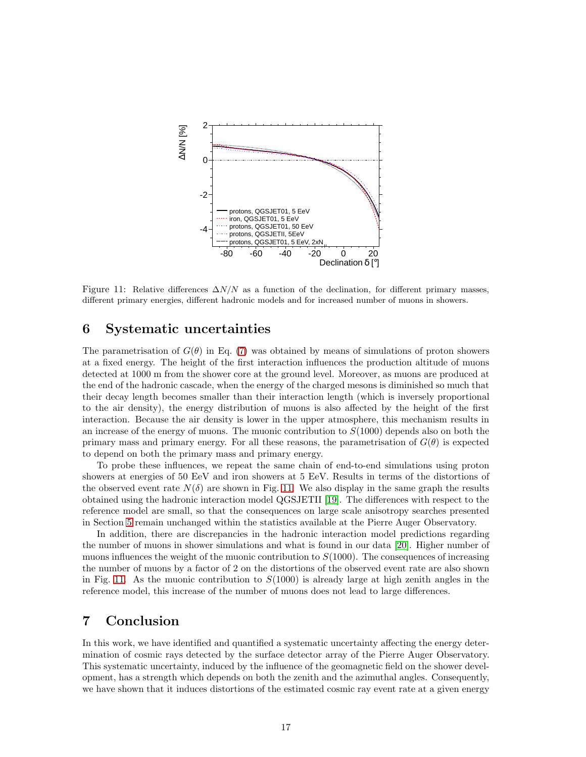

<span id="page-18-1"></span>Figure 11: Relative differences  $\Delta N/N$  as a function of the declination, for different primary masses, different primary energies, different hadronic models and for increased number of muons in showers.

## <span id="page-18-0"></span>6 Systematic uncertainties

The parametrisation of  $G(\theta)$  in Eq. [\(7\)](#page-14-1) was obtained by means of simulations of proton showers at a fixed energy. The height of the first interaction influences the production altitude of muons detected at 1000 m from the shower core at the ground level. Moreover, as muons are produced at the end of the hadronic cascade, when the energy of the charged mesons is diminished so much that their decay length becomes smaller than their interaction length (which is inversely proportional to the air density), the energy distribution of muons is also affected by the height of the first interaction. Because the air density is lower in the upper atmosphere, this mechanism results in an increase of the energy of muons. The muonic contribution to  $S(1000)$  depends also on both the primary mass and primary energy. For all these reasons, the parametrisation of  $G(\theta)$  is expected to depend on both the primary mass and primary energy.

To probe these influences, we repeat the same chain of end-to-end simulations using proton showers at energies of 50 EeV and iron showers at 5 EeV. Results in terms of the distortions of the observed event rate  $N(\delta)$  are shown in Fig. [11.](#page-18-1) We also display in the same graph the results obtained using the hadronic interaction model QGSJETII [\[19\]](#page-21-15). The differences with respect to the reference model are small, so that the consequences on large scale anisotropy searches presented in Section [5](#page-15-0) remain unchanged within the statistics available at the Pierre Auger Observatory.

In addition, there are discrepancies in the hadronic interaction model predictions regarding the number of muons in shower simulations and what is found in our data [\[20\]](#page-21-16). Higher number of muons influences the weight of the muonic contribution to  $S(1000)$ . The consequences of increasing the number of muons by a factor of 2 on the distortions of the observed event rate are also shown in Fig. [11.](#page-18-1) As the muonic contribution to  $S(1000)$  is already large at high zenith angles in the reference model, this increase of the number of muons does not lead to large differences.

## 7 Conclusion

In this work, we have identified and quantified a systematic uncertainty affecting the energy determination of cosmic rays detected by the surface detector array of the Pierre Auger Observatory. This systematic uncertainty, induced by the influence of the geomagnetic field on the shower development, has a strength which depends on both the zenith and the azimuthal angles. Consequently, we have shown that it induces distortions of the estimated cosmic ray event rate at a given energy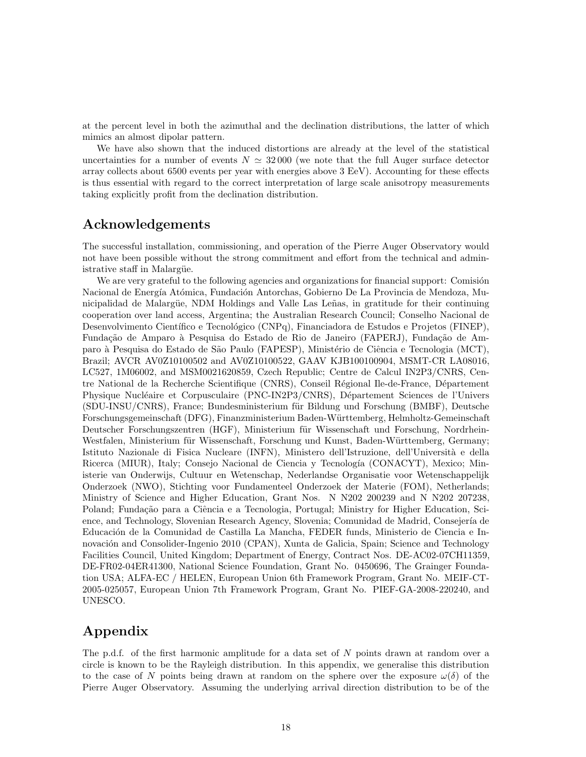at the percent level in both the azimuthal and the declination distributions, the latter of which mimics an almost dipolar pattern.

We have also shown that the induced distortions are already at the level of the statistical uncertainties for a number of events  $N \approx 32000$  (we note that the full Auger surface detector array collects about 6500 events per year with energies above 3 EeV). Accounting for these effects is thus essential with regard to the correct interpretation of large scale anisotropy measurements taking explicitly profit from the declination distribution.

## Acknowledgements

The successful installation, commissioning, and operation of the Pierre Auger Observatory would not have been possible without the strong commitment and effort from the technical and administrative staff in Malargüe.

We are very grateful to the following agencies and organizations for financial support: Comisión Nacional de Energía Atómica, Fundación Antorchas, Gobierno De La Provincia de Mendoza, Municipalidad de Malargüe, NDM Holdings and Valle Las Leñas, in gratitude for their continuing cooperation over land access, Argentina; the Australian Research Council; Conselho Nacional de Desenvolvimento Científico e Tecnológico (CNPq), Financiadora de Estudos e Projetos (FINEP), Fundação de Amparo à Pesquisa do Estado de Rio de Janeiro (FAPERJ), Fundação de Amparo à Pesquisa do Estado de São Paulo (FAPESP), Ministério de Ciência e Tecnologia (MCT), Brazil; AVCR AV0Z10100502 and AV0Z10100522, GAAV KJB100100904, MSMT-CR LA08016, LC527, 1M06002, and MSM0021620859, Czech Republic; Centre de Calcul IN2P3/CNRS, Centre National de la Recherche Scientifique (CNRS), Conseil Régional Ile-de-France, Département Physique Nucléaire et Corpusculaire (PNC-IN2P3/CNRS), Département Sciences de l'Univers (SDU-INSU/CNRS), France; Bundesministerium für Bildung und Forschung (BMBF), Deutsche Forschungsgemeinschaft (DFG), Finanzministerium Baden-W¨urttemberg, Helmholtz-Gemeinschaft Deutscher Forschungszentren (HGF), Ministerium für Wissenschaft und Forschung, Nordrhein-Westfalen, Ministerium für Wissenschaft, Forschung und Kunst, Baden-Württemberg, Germany; Istituto Nazionale di Fisica Nucleare (INFN), Ministero dell'Istruzione, dell'Università e della Ricerca (MIUR), Italy; Consejo Nacional de Ciencia y Tecnología (CONACYT), Mexico; Ministerie van Onderwijs, Cultuur en Wetenschap, Nederlandse Organisatie voor Wetenschappelijk Onderzoek (NWO), Stichting voor Fundamenteel Onderzoek der Materie (FOM), Netherlands; Ministry of Science and Higher Education, Grant Nos. N N202 200239 and N N202 207238, Poland; Fundação para a Ciência e a Tecnologia, Portugal; Ministry for Higher Education, Science, and Technology, Slovenian Research Agency, Slovenia; Comunidad de Madrid, Consejería de Educación de la Comunidad de Castilla La Mancha, FEDER funds, Ministerio de Ciencia e Innovación and Consolider-Ingenio 2010 (CPAN), Xunta de Galicia, Spain; Science and Technology Facilities Council, United Kingdom; Department of Energy, Contract Nos. DE-AC02-07CH11359, DE-FR02-04ER41300, National Science Foundation, Grant No. 0450696, The Grainger Foundation USA; ALFA-EC / HELEN, European Union 6th Framework Program, Grant No. MEIF-CT-2005-025057, European Union 7th Framework Program, Grant No. PIEF-GA-2008-220240, and UNESCO.

## Appendix

The p.d.f. of the first harmonic amplitude for a data set of N points drawn at random over a circle is known to be the Rayleigh distribution. In this appendix, we generalise this distribution to the case of N points being drawn at random on the sphere over the exposure  $\omega(\delta)$  of the Pierre Auger Observatory. Assuming the underlying arrival direction distribution to be of the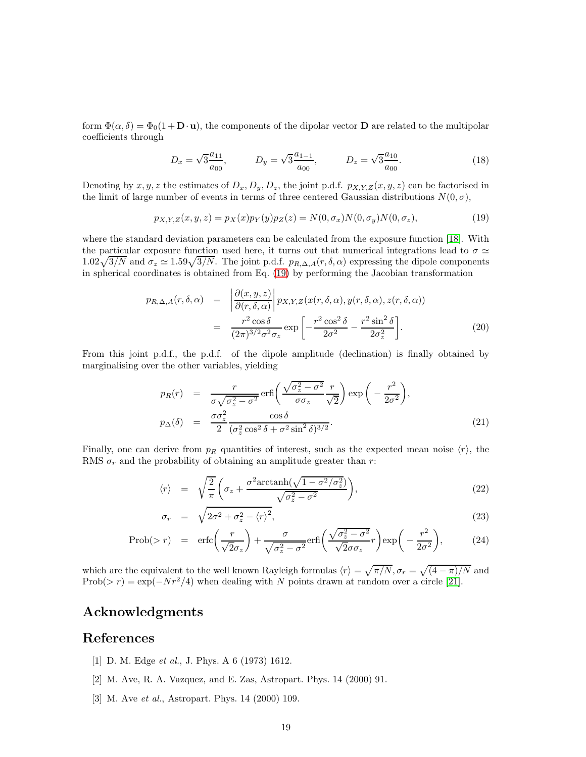form  $\Phi(\alpha, \delta) = \Phi_0(1 + \mathbf{D} \cdot \mathbf{u})$ , the components of the dipolar vector **D** are related to the multipolar coefficients through

<span id="page-20-3"></span>
$$
D_x = \sqrt{3} \frac{a_{11}}{a_{00}}, \qquad D_y = \sqrt{3} \frac{a_{1-1}}{a_{00}}, \qquad D_z = \sqrt{3} \frac{a_{10}}{a_{00}}.
$$
 (18)

Denoting by  $x, y, z$  the estimates of  $D_x, D_y, D_z$ , the joint p.d.f.  $p_{X,Y,Z}(x, y, z)$  can be factorised in the limit of large number of events in terms of three centered Gaussian distributions  $N(0, \sigma)$ ,

$$
p_{X,Y,Z}(x,y,z) = p_X(x)p_Y(y)p_Z(z) = N(0,\sigma_x)N(0,\sigma_y)N(0,\sigma_z),
$$
\n(19)

where the standard deviation parameters can be calculated from the exposure function [\[18\]](#page-21-14). With the particular exposure function used here, it turns out that numerical integrations lead to  $\sigma \simeq$  $1.02\sqrt{3/N}$  and  $\sigma_z \simeq 1.59\sqrt{3/N}$ . The joint p.d.f.  $p_{R,\Delta,A}(r,\delta,\alpha)$  expressing the dipole components in spherical coordinates is obtained from Eq. [\(19\)](#page-20-3) by performing the Jacobian transformation

$$
p_{R,\Delta,A}(r,\delta,\alpha) = \left| \frac{\partial(x,y,z)}{\partial(r,\delta,\alpha)} \right| p_{X,Y,Z}(x(r,\delta,\alpha),y(r,\delta,\alpha),z(r,\delta,\alpha))
$$
  

$$
= \frac{r^2 \cos \delta}{(2\pi)^{3/2} \sigma^2 \sigma_z} \exp\left[ -\frac{r^2 \cos^2 \delta}{2\sigma^2} - \frac{r^2 \sin^2 \delta}{2\sigma_z^2} \right].
$$
 (20)

From this joint p.d.f., the p.d.f. of the dipole amplitude (declination) is finally obtained by marginalising over the other variables, yielding

$$
p_R(r) = \frac{r}{\sigma \sqrt{\sigma_z^2 - \sigma^2}} \operatorname{erfi}\left(\frac{\sqrt{\sigma_z^2 - \sigma^2}}{\sigma \sigma_z} \frac{r}{\sqrt{2}}\right) \exp\left(-\frac{r^2}{2\sigma^2}\right),
$$
  
\n
$$
p_\Delta(\delta) = \frac{\sigma \sigma_z^2}{2} \frac{\cos \delta}{(\sigma_z^2 \cos^2 \delta + \sigma^2 \sin^2 \delta)^{3/2}}.
$$
\n(21)

Finally, one can derive from  $p_R$  quantities of interest, such as the expected mean noise  $\langle r \rangle$ , the RMS  $\sigma_r$  and the probability of obtaining an amplitude greater than r:

$$
\langle r \rangle = \sqrt{\frac{2}{\pi}} \left( \sigma_z + \frac{\sigma^2 \arctanh(\sqrt{1 - \sigma^2/\sigma_z^2})}{\sqrt{\sigma_z^2 - \sigma^2}} \right),\tag{22}
$$

$$
\sigma_r = \sqrt{2\sigma^2 + \sigma_z^2 - \langle r \rangle^2},\tag{23}
$$

$$
\text{Prob}(>r) = \text{erfc}\left(\frac{r}{\sqrt{2}\sigma_z}\right) + \frac{\sigma}{\sqrt{\sigma_z^2 - \sigma^2}} \text{erfi}\left(\frac{\sqrt{\sigma_z^2 - \sigma^2}}{\sqrt{2}\sigma\sigma_z}r\right) \exp\left(-\frac{r^2}{2\sigma^2}\right),\tag{24}
$$

which are the equivalent to the well known Rayleigh formulas  $\langle r \rangle = \sqrt{\pi/N}, \sigma_r = \sqrt{(4 - \pi)/N}$  and Prob(> r) = exp( $-Nr^2/4$ ) when dealing with N points drawn at random over a circle [\[21\]](#page-21-17).

## Acknowledgments

## <span id="page-20-0"></span>References

- <span id="page-20-1"></span>[1] D. M. Edge et al., J. Phys. A 6 (1973) 1612.
- <span id="page-20-2"></span>[2] M. Ave, R. A. Vazquez, and E. Zas, Astropart. Phys. 14 (2000) 91.
- [3] M. Ave et al., Astropart. Phys. 14 (2000) 109.